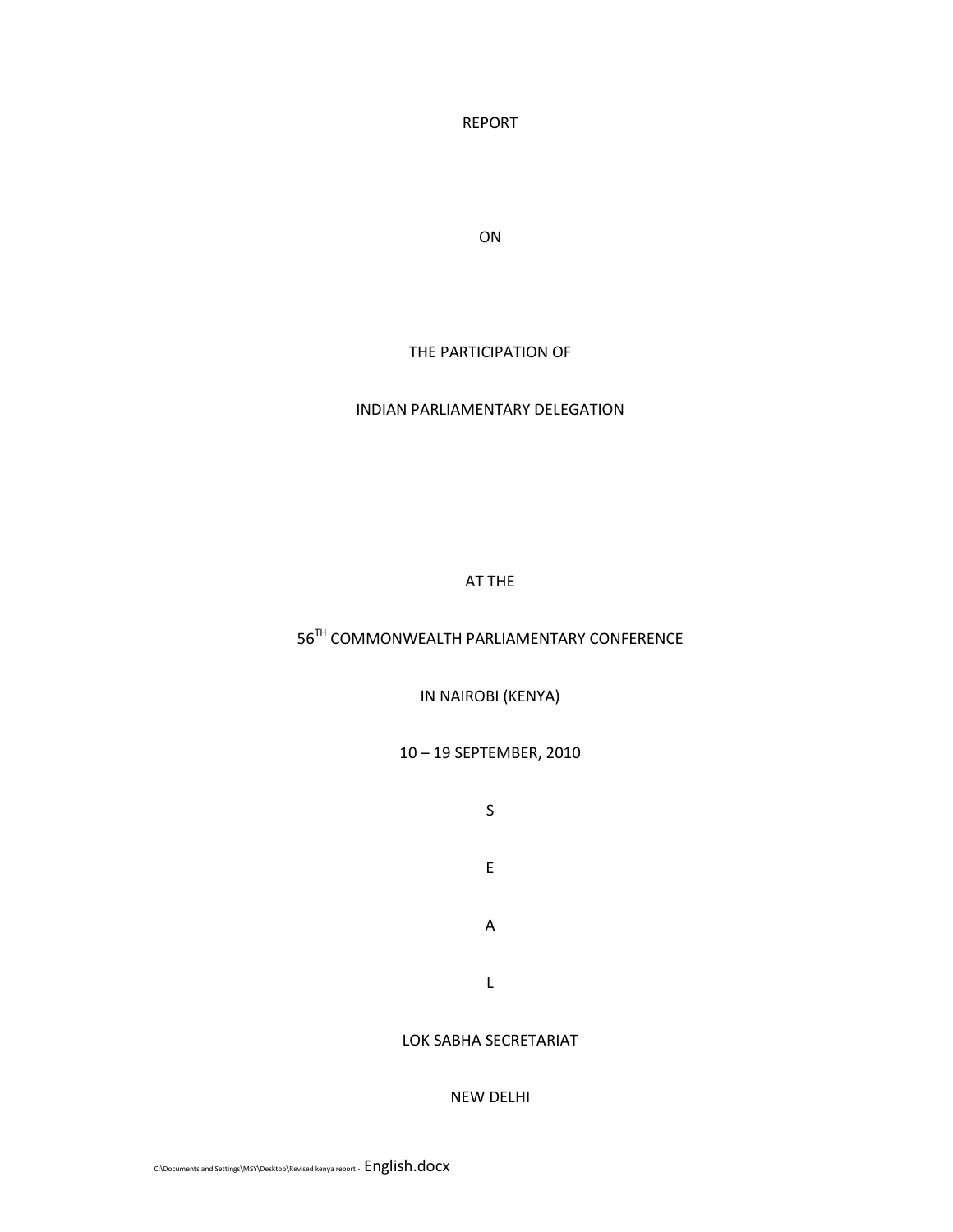REPORT

ON

THE PARTICIPATION OF

### INDIAN PARLIAMENTARY DELEGATION

### AT THE

# 56TH COMMONWEALTH PARLIAMENTARY CONFERENCE

IN NAIROBI (KENYA)

### 10 – 19 SEPTEMBER, 2010

S

E

A

L

#### LOK SABHA SECRETARIAT

### NEW DELHI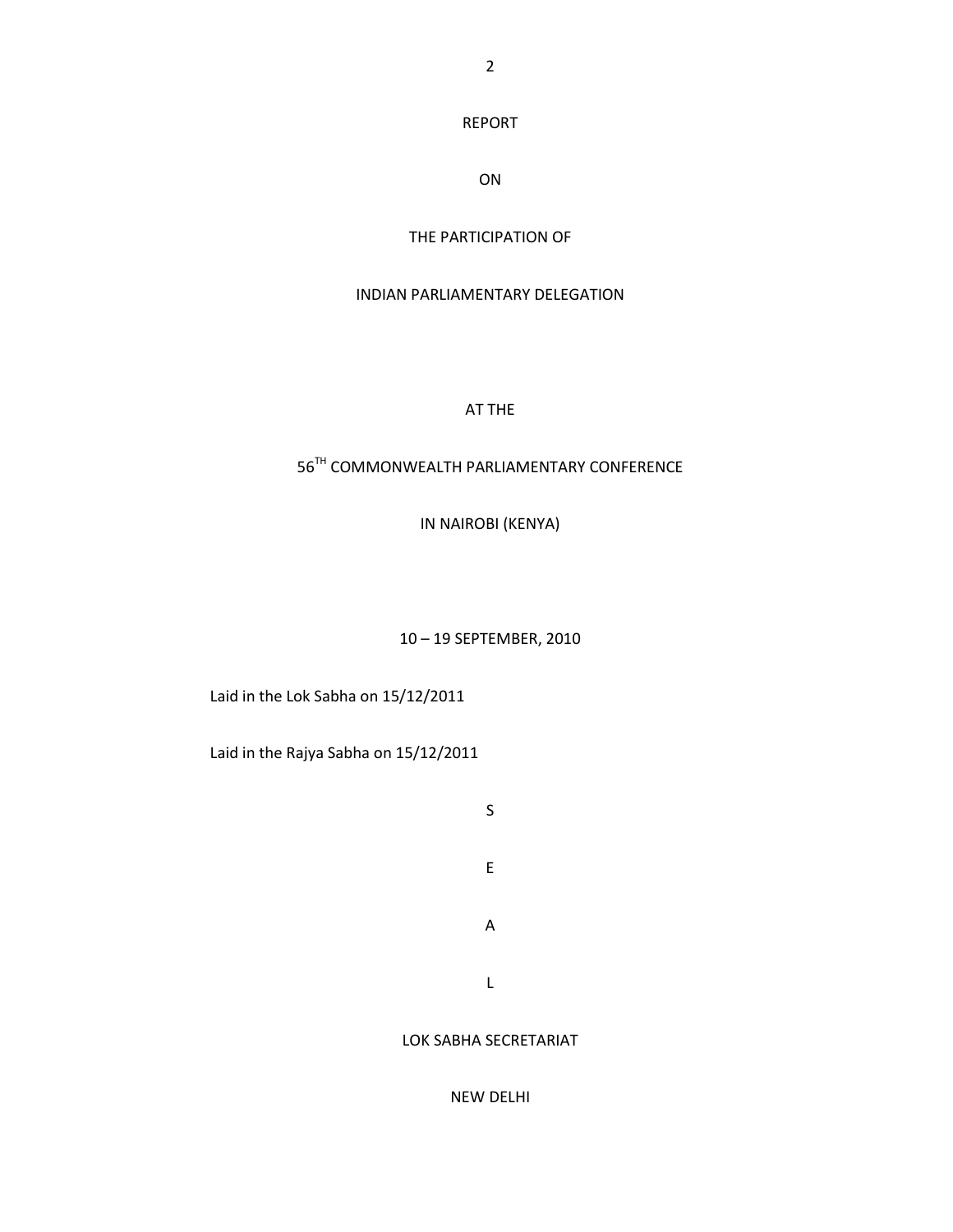REPORT

ON

#### THE PARTICIPATION OF

#### INDIAN PARLIAMENTARY DELEGATION

AT THE

# 56TH COMMONWEALTH PARLIAMENTARY CONFERENCE

IN NAIROBI (KENYA)

10 – 19 SEPTEMBER, 2010

Laid in the Lok Sabha on 15/12/2011

Laid in the Rajya Sabha on 15/12/2011

S E

A

L

LOK SABHA SECRETARIAT

#### NEW DELHI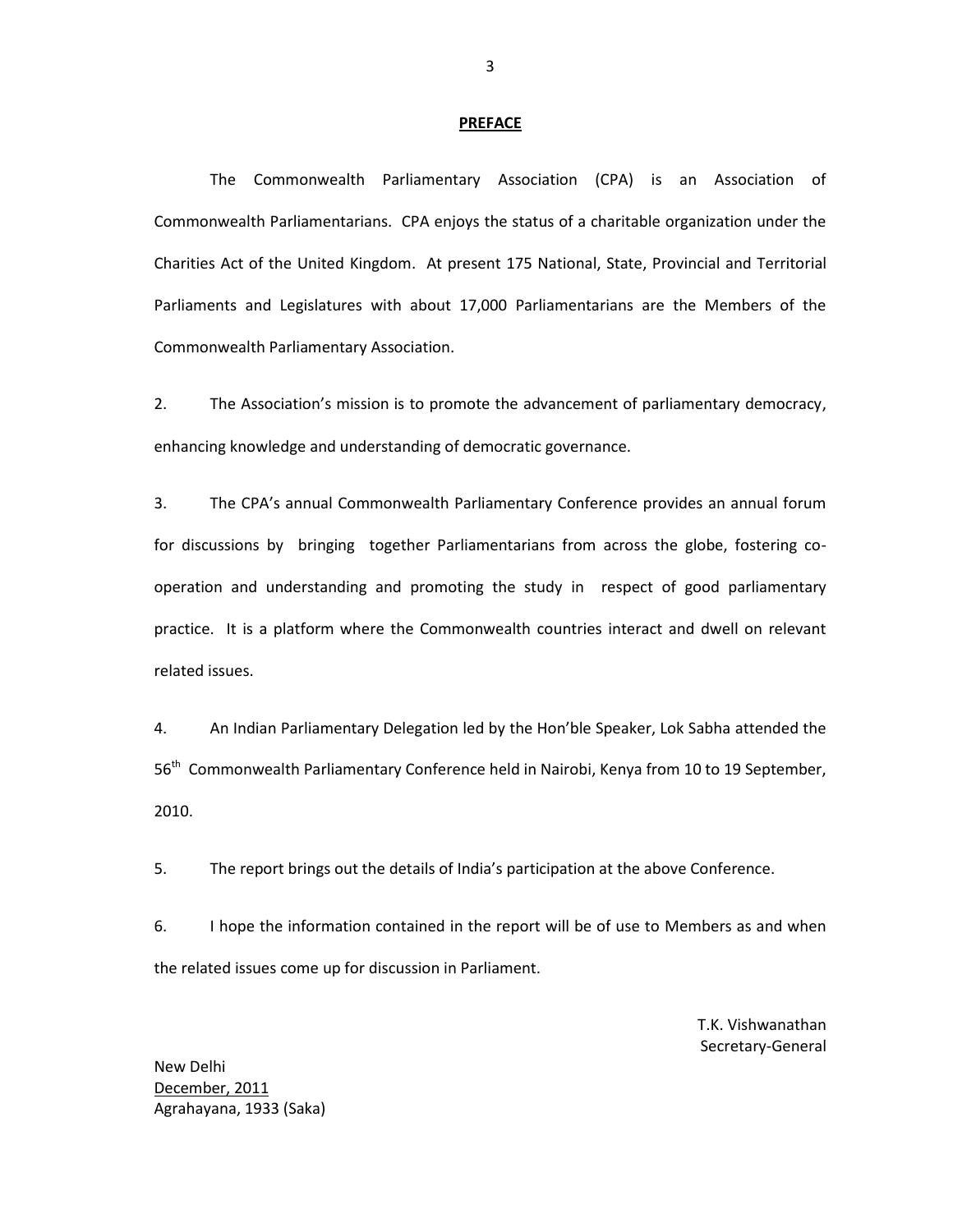#### **PREFACE**

The Commonwealth Parliamentary Association (CPA) is an Association of Commonwealth Parliamentarians. CPA enjoys the status of a charitable organization under the Charities Act of the United Kingdom. At present 175 National, State, Provincial and Territorial Parliaments and Legislatures with about 17,000 Parliamentarians are the Members of the Commonwealth Parliamentary Association.

2. The Association's mission is to promote the advancement of parliamentary democracy, enhancing knowledge and understanding of democratic governance.

3. The CPA's annual Commonwealth Parliamentary Conference provides an annual forum for discussions by bringing together Parliamentarians from across the globe, fostering cooperation and understanding and promoting the study in respect of good parliamentary practice. It is a platform where the Commonwealth countries interact and dwell on relevant related issues.

4. An Indian Parliamentary Delegation led by the Hon'ble Speaker, Lok Sabha attended the 56<sup>th</sup> Commonwealth Parliamentary Conference held in Nairobi, Kenya from 10 to 19 September, 2010.

5. The report brings out the details of India's participation at the above Conference.

6. I hope the information contained in the report will be of use to Members as and when the related issues come up for discussion in Parliament.

> T.K. Vishwanathan Secretary-General

New Delhi December, 2011 Agrahayana, 1933 (Saka)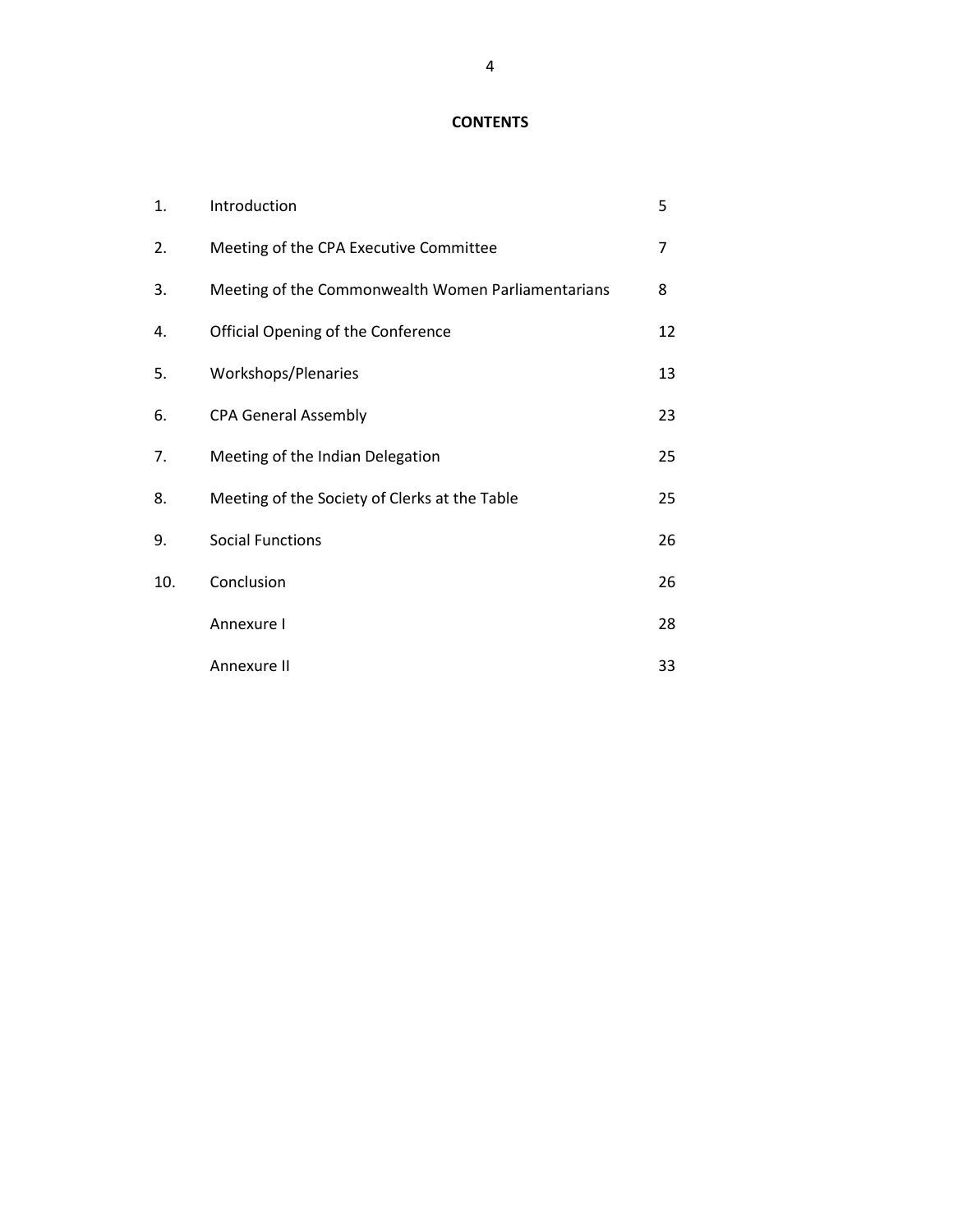### **CONTENTS**

| 1.  | Introduction                                       | 5              |
|-----|----------------------------------------------------|----------------|
| 2.  | Meeting of the CPA Executive Committee             | $\overline{7}$ |
| 3.  | Meeting of the Commonwealth Women Parliamentarians | 8              |
| 4.  | Official Opening of the Conference                 | 12             |
| 5.  | Workshops/Plenaries                                | 13             |
| 6.  | <b>CPA General Assembly</b>                        | 23             |
| 7.  | Meeting of the Indian Delegation                   | 25             |
| 8.  | Meeting of the Society of Clerks at the Table      | 25             |
| 9.  | <b>Social Functions</b>                            | 26             |
| 10. | Conclusion                                         | 26             |
|     | Annexure I                                         | 28             |
|     | Annexure II                                        | 33             |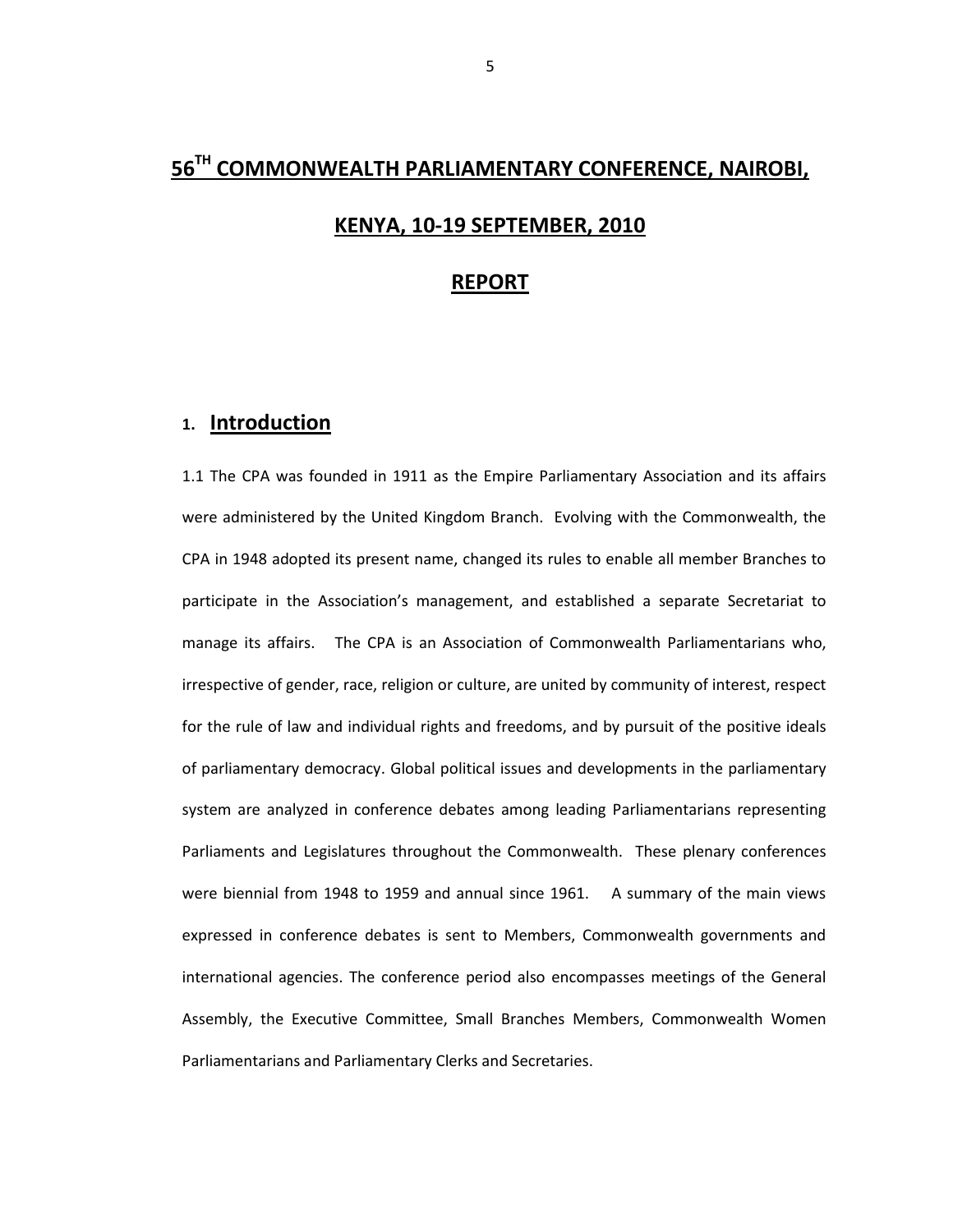# **56TH COMMONWEALTH PARLIAMENTARY CONFERENCE, NAIROBI,**

### **KENYA, 10-19 SEPTEMBER, 2010**

### **REPORT**

### **1. Introduction**

1.1 The CPA was founded in 1911 as the Empire Parliamentary Association and its affairs were administered by the United Kingdom Branch. Evolving with the Commonwealth, the CPA in 1948 adopted its present name, changed its rules to enable all member Branches to participate in the Association's management, and established a separate Secretariat to manage its affairs. The CPA is an Association of Commonwealth Parliamentarians who, irrespective of gender, race, religion or culture, are united by community of interest, respect for the rule of law and individual rights and freedoms, and by pursuit of the positive ideals of parliamentary democracy. Global political issues and developments in the parliamentary system are analyzed in conference debates among leading Parliamentarians representing Parliaments and Legislatures throughout the Commonwealth. These plenary conferences were biennial from 1948 to 1959 and annual since 1961. A summary of the main views expressed in conference debates is sent to Members, Commonwealth governments and international agencies. The conference period also encompasses meetings of the General Assembly, the Executive Committee, Small Branches Members, Commonwealth Women Parliamentarians and Parliamentary Clerks and Secretaries.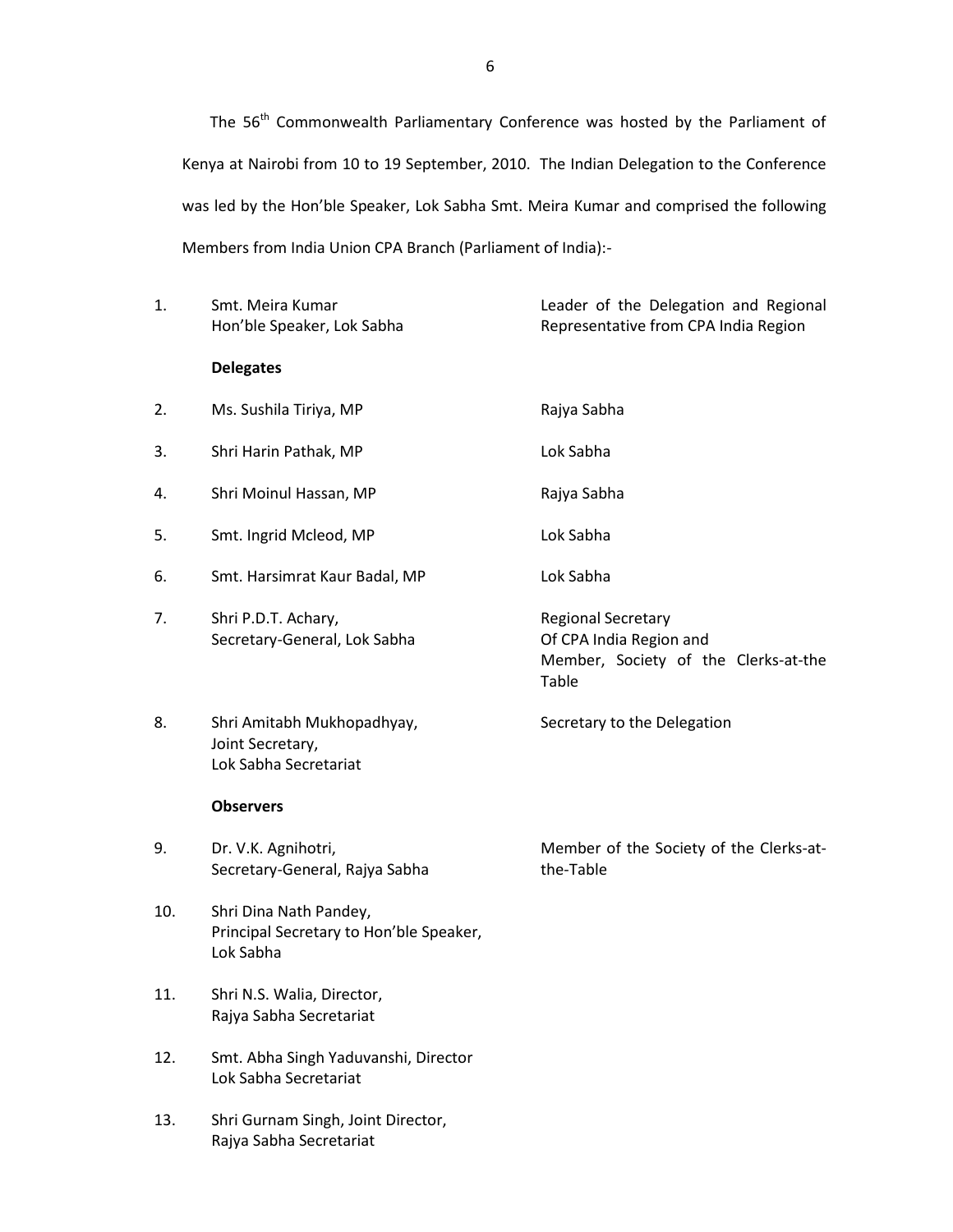The 56<sup>th</sup> Commonwealth Parliamentary Conference was hosted by the Parliament of Kenya at Nairobi from 10 to 19 September, 2010. The Indian Delegation to the Conference was led by the Hon'ble Speaker, Lok Sabha Smt. Meira Kumar and comprised the following Members from India Union CPA Branch (Parliament of India):-

- 1. Smt. Meira Kumar Hon'ble Speaker, Lok Sabha Leader of the Delegation and Regional Representative from CPA India Region **Delegates** 2. Ms. Sushila Tiriya, MP Rajya Sabha 3. Shri Harin Pathak, MP Lok Sabha 4. Shri Moinul Hassan, MP **Rajya Sabha** 5. Smt. Ingrid Mcleod, MP Contract Lok Sabha 6. 7. Smt. Harsimrat Kaur Badal, MP Shri P.D.T. Achary, Secretary-General, Lok Sabha Lok Sabha Regional Secretary Of CPA India Region and Member, Society of the Clerks-at-the Table 8. Shri Amitabh Mukhopadhyay, Joint Secretary, Lok Sabha Secretariat Secretary to the Delegation **Observers** 9. Dr. V.K. Agnihotri, Secretary-General, Rajya Sabha Member of the Society of the Clerks-atthe-Table 10. Shri Dina Nath Pandey, Principal Secretary to Hon'ble Speaker, Lok Sabha 11. Shri N.S. Walia, Director, Rajya Sabha Secretariat 12. Smt. Abha Singh Yaduvanshi, Director Lok Sabha Secretariat
- 13. Shri Gurnam Singh, Joint Director, Rajya Sabha Secretariat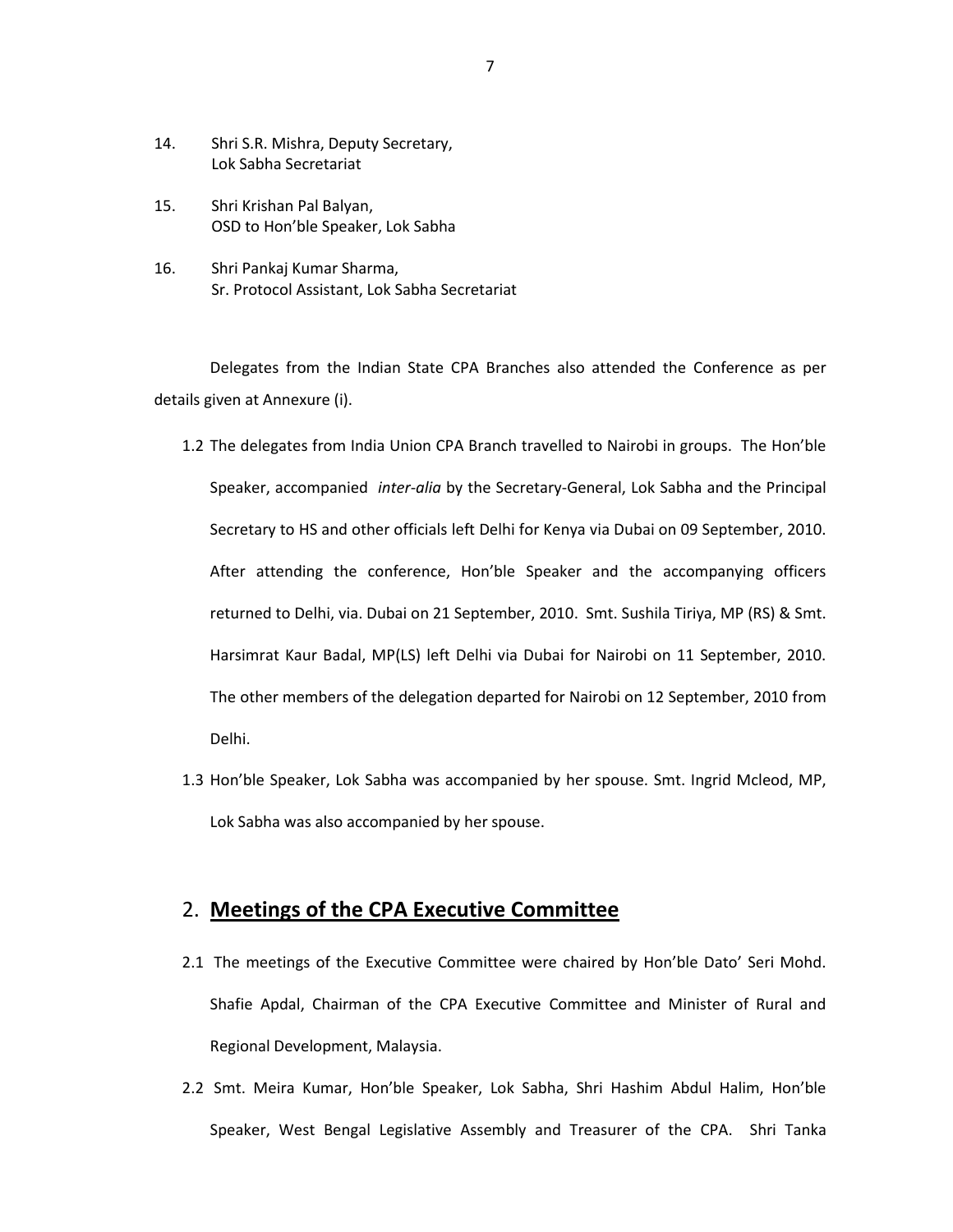- 14. Shri S.R. Mishra, Deputy Secretary, Lok Sabha Secretariat
- 15. Shri Krishan Pal Balyan, OSD to Hon'ble Speaker, Lok Sabha
- 16. Shri Pankaj Kumar Sharma, Sr. Protocol Assistant, Lok Sabha Secretariat

Delegates from the Indian State CPA Branches also attended the Conference as per details given at Annexure (i).

- 1.2 The delegates from India Union CPA Branch travelled to Nairobi in groups. The Hon'ble Speaker, accompanied *inter-alia* by the Secretary-General, Lok Sabha and the Principal Secretary to HS and other officials left Delhi for Kenya via Dubai on 09 September, 2010. After attending the conference, Hon'ble Speaker and the accompanying officers returned to Delhi, via. Dubai on 21 September, 2010. Smt. Sushila Tiriya, MP (RS) & Smt. Harsimrat Kaur Badal, MP(LS) left Delhi via Dubai for Nairobi on 11 September, 2010. The other members of the delegation departed for Nairobi on 12 September, 2010 from Delhi.
- 1.3 Hon'ble Speaker, Lok Sabha was accompanied by her spouse. Smt. Ingrid Mcleod, MP, Lok Sabha was also accompanied by her spouse.

### 2. **Meetings of the CPA Executive Committee**

- 2.1 The meetings of the Executive Committee were chaired by Hon'ble Dato' Seri Mohd. Shafie Apdal, Chairman of the CPA Executive Committee and Minister of Rural and Regional Development, Malaysia.
- 2.2 Smt. Meira Kumar, Hon'ble Speaker, Lok Sabha, Shri Hashim Abdul Halim, Hon'ble Speaker, West Bengal Legislative Assembly and Treasurer of the CPA. Shri Tanka

7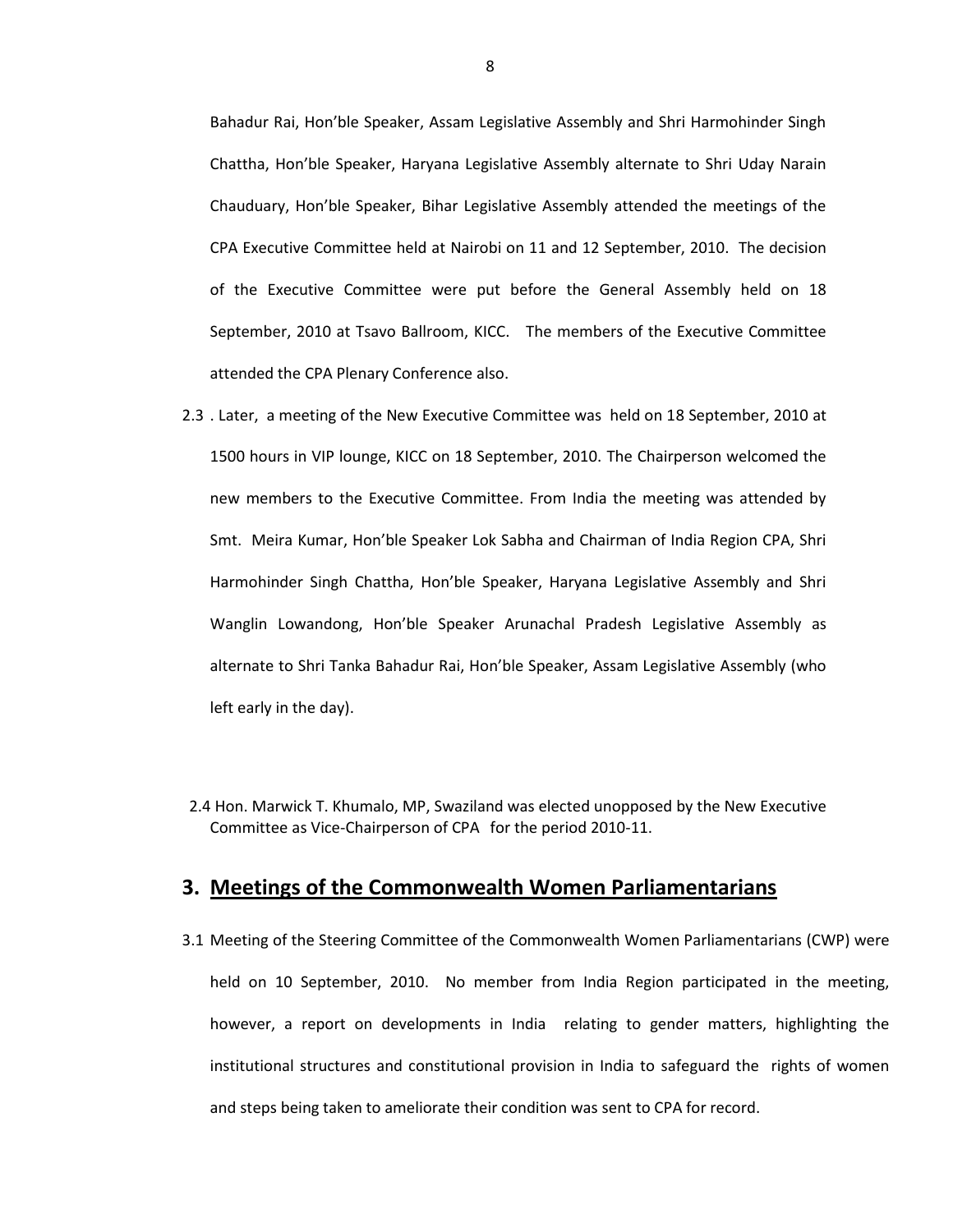Bahadur Rai, Hon'ble Speaker, Assam Legislative Assembly and Shri Harmohinder Singh Chattha, Hon'ble Speaker, Haryana Legislative Assembly alternate to Shri Uday Narain Chauduary, Hon'ble Speaker, Bihar Legislative Assembly attended the meetings of the CPA Executive Committee held at Nairobi on 11 and 12 September, 2010. The decision of the Executive Committee were put before the General Assembly held on 18 September, 2010 at Tsavo Ballroom, KICC. The members of the Executive Committee attended the CPA Plenary Conference also.

- 2.3 . Later, a meeting of the New Executive Committee was held on 18 September, 2010 at 1500 hours in VIP lounge, KICC on 18 September, 2010. The Chairperson welcomed the new members to the Executive Committee. From India the meeting was attended by Smt. Meira Kumar, Hon'ble Speaker Lok Sabha and Chairman of India Region CPA, Shri Harmohinder Singh Chattha, Hon'ble Speaker, Haryana Legislative Assembly and Shri Wanglin Lowandong, Hon'ble Speaker Arunachal Pradesh Legislative Assembly as alternate to Shri Tanka Bahadur Rai, Hon'ble Speaker, Assam Legislative Assembly (who left early in the day).
- 2.4 Hon. Marwick T. Khumalo, MP, Swaziland was elected unopposed by the New Executive Committee as Vice-Chairperson of CPA for the period 2010-11.

### **3. Meetings of the Commonwealth Women Parliamentarians**

3.1 Meeting of the Steering Committee of the Commonwealth Women Parliamentarians (CWP) were held on 10 September, 2010. No member from India Region participated in the meeting, however, a report on developments in India relating to gender matters, highlighting the institutional structures and constitutional provision in India to safeguard the rights of women and steps being taken to ameliorate their condition was sent to CPA for record.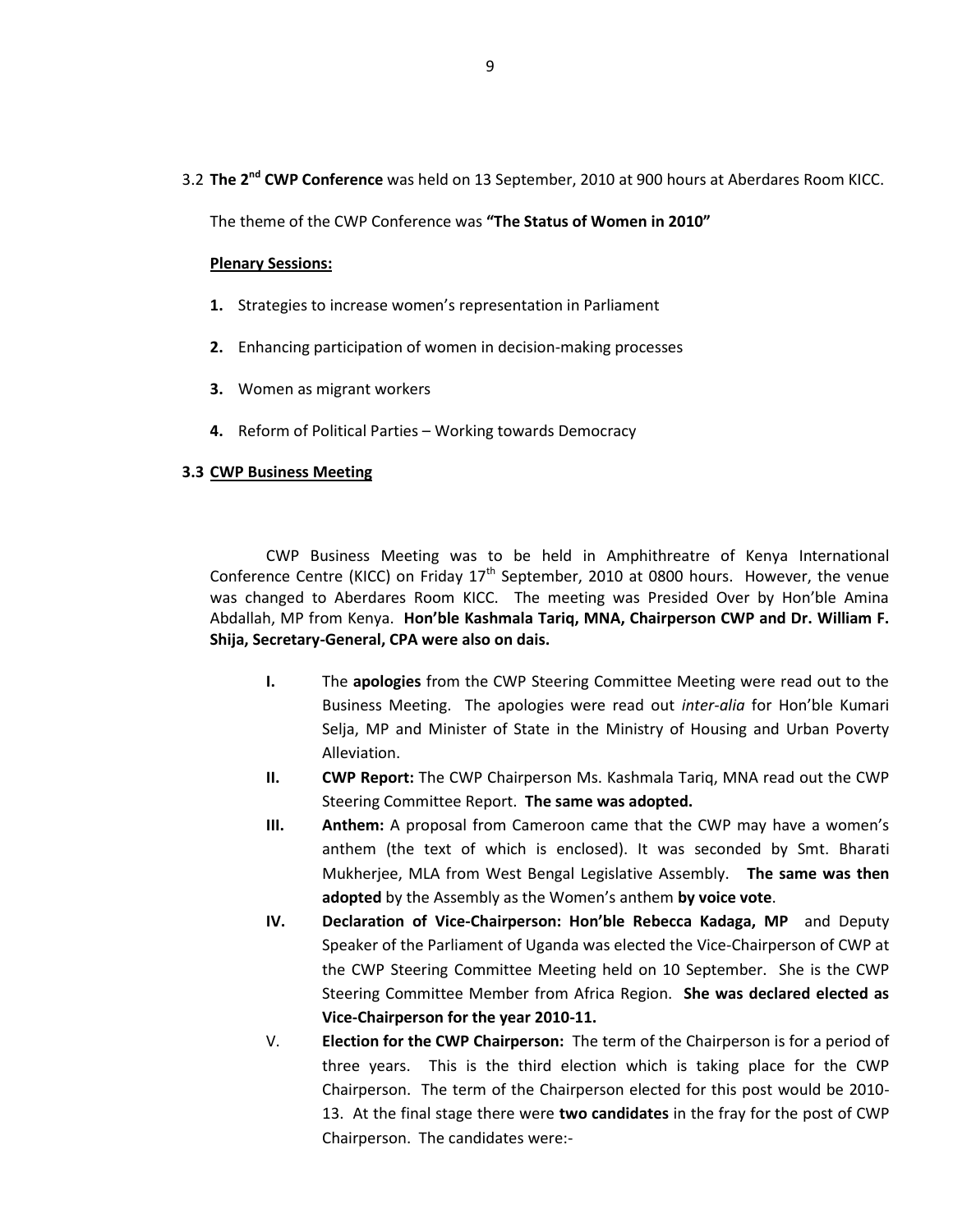### 3.2 The 2<sup>nd</sup> CWP Conference was held on 13 September, 2010 at 900 hours at Aberdares Room KICC.

The theme of the CWP Conference was **"The Status of Women in 2010"**

#### **Plenary Sessions:**

- **1.** Strategies to increase women's representation in Parliament
- **2.** Enhancing participation of women in decision-making processes
- **3.** Women as migrant workers
- **4.** Reform of Political Parties Working towards Democracy

#### **3.3 CWP Business Meeting**

CWP Business Meeting was to be held in Amphithreatre of Kenya International Conference Centre (KICC) on Friday  $17<sup>th</sup>$  September, 2010 at 0800 hours. However, the venue was changed to Aberdares Room KICC. The meeting was Presided Over by Hon'ble Amina Abdallah, MP from Kenya. **Hon'ble Kashmala Tariq, MNA, Chairperson CWP and Dr. William F. Shija, Secretary-General, CPA were also on dais.**

- **I.** The **apologies** from the CWP Steering Committee Meeting were read out to the Business Meeting. The apologies were read out *inter-alia* for Hon'ble Kumari Selja, MP and Minister of State in the Ministry of Housing and Urban Poverty Alleviation.
- **II. CWP Report:** The CWP Chairperson Ms. Kashmala Tariq, MNA read out the CWP Steering Committee Report. **The same was adopted.**
- **III. Anthem:** A proposal from Cameroon came that the CWP may have a women's anthem (the text of which is enclosed). It was seconded by Smt. Bharati Mukherjee, MLA from West Bengal Legislative Assembly. **The same was then adopted** by the Assembly as the Women's anthem **by voice vote**.
- **IV. Declaration of Vice-Chairperson: Hon'ble Rebecca Kadaga, MP** and Deputy Speaker of the Parliament of Uganda was elected the Vice-Chairperson of CWP at the CWP Steering Committee Meeting held on 10 September. She is the CWP Steering Committee Member from Africa Region. **She was declared elected as Vice-Chairperson for the year 2010-11.**
- V. **Election for the CWP Chairperson:** The term of the Chairperson is for a period of three years. This is the third election which is taking place for the CWP Chairperson. The term of the Chairperson elected for this post would be 2010- 13. At the final stage there were **two candidates** in the fray for the post of CWP Chairperson. The candidates were:-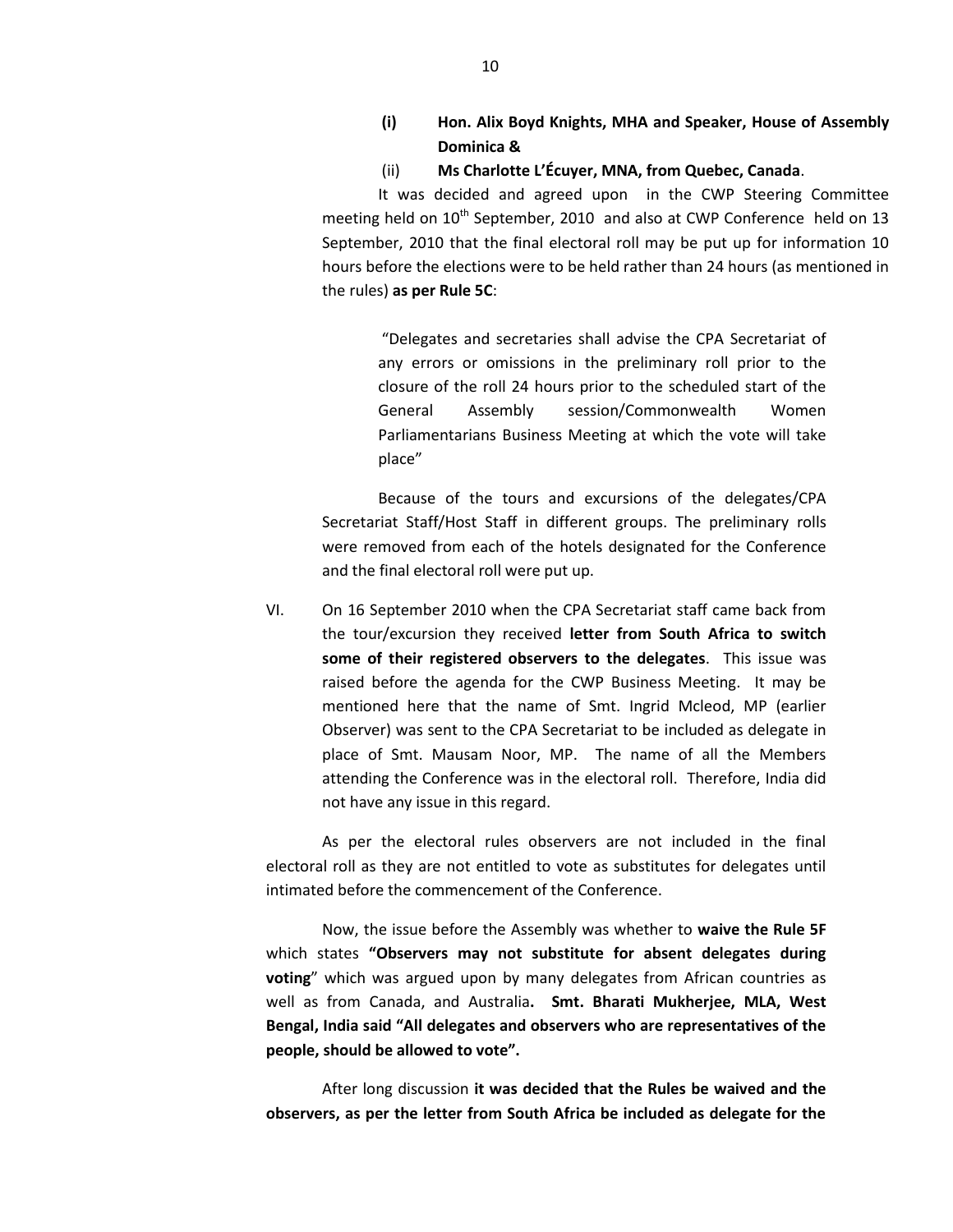- **(i) Hon. Alix Boyd Knights, MHA and Speaker, House of Assembly Dominica &**
- (ii) **Ms Charlotte L'Écuyer, MNA, from Quebec, Canada**.

It was decided and agreed upon in the CWP Steering Committee meeting held on  $10^{th}$  September, 2010 and also at CWP Conference held on 13 September, 2010 that the final electoral roll may be put up for information 10 hours before the elections were to be held rather than 24 hours (as mentioned in the rules) **as per Rule 5C**:

"Delegates and secretaries shall advise the CPA Secretariat of any errors or omissions in the preliminary roll prior to the closure of the roll 24 hours prior to the scheduled start of the General Assembly session/Commonwealth Women Parliamentarians Business Meeting at which the vote will take place"

Because of the tours and excursions of the delegates/CPA Secretariat Staff/Host Staff in different groups. The preliminary rolls were removed from each of the hotels designated for the Conference and the final electoral roll were put up.

VI. On 16 September 2010 when the CPA Secretariat staff came back from the tour/excursion they received **letter from South Africa to switch some of their registered observers to the delegates**. This issue was raised before the agenda for the CWP Business Meeting. It may be mentioned here that the name of Smt. Ingrid Mcleod, MP (earlier Observer) was sent to the CPA Secretariat to be included as delegate in place of Smt. Mausam Noor, MP. The name of all the Members attending the Conference was in the electoral roll. Therefore, India did not have any issue in this regard.

As per the electoral rules observers are not included in the final electoral roll as they are not entitled to vote as substitutes for delegates until intimated before the commencement of the Conference.

Now, the issue before the Assembly was whether to **waive the Rule 5F** which states **"Observers may not substitute for absent delegates during voting**" which was argued upon by many delegates from African countries as well as from Canada, and Australia**. Smt. Bharati Mukherjee, MLA, West Bengal, India said "All delegates and observers who are representatives of the people, should be allowed to vote".**

After long discussion **it was decided that the Rules be waived and the observers, as per the letter from South Africa be included as delegate for the**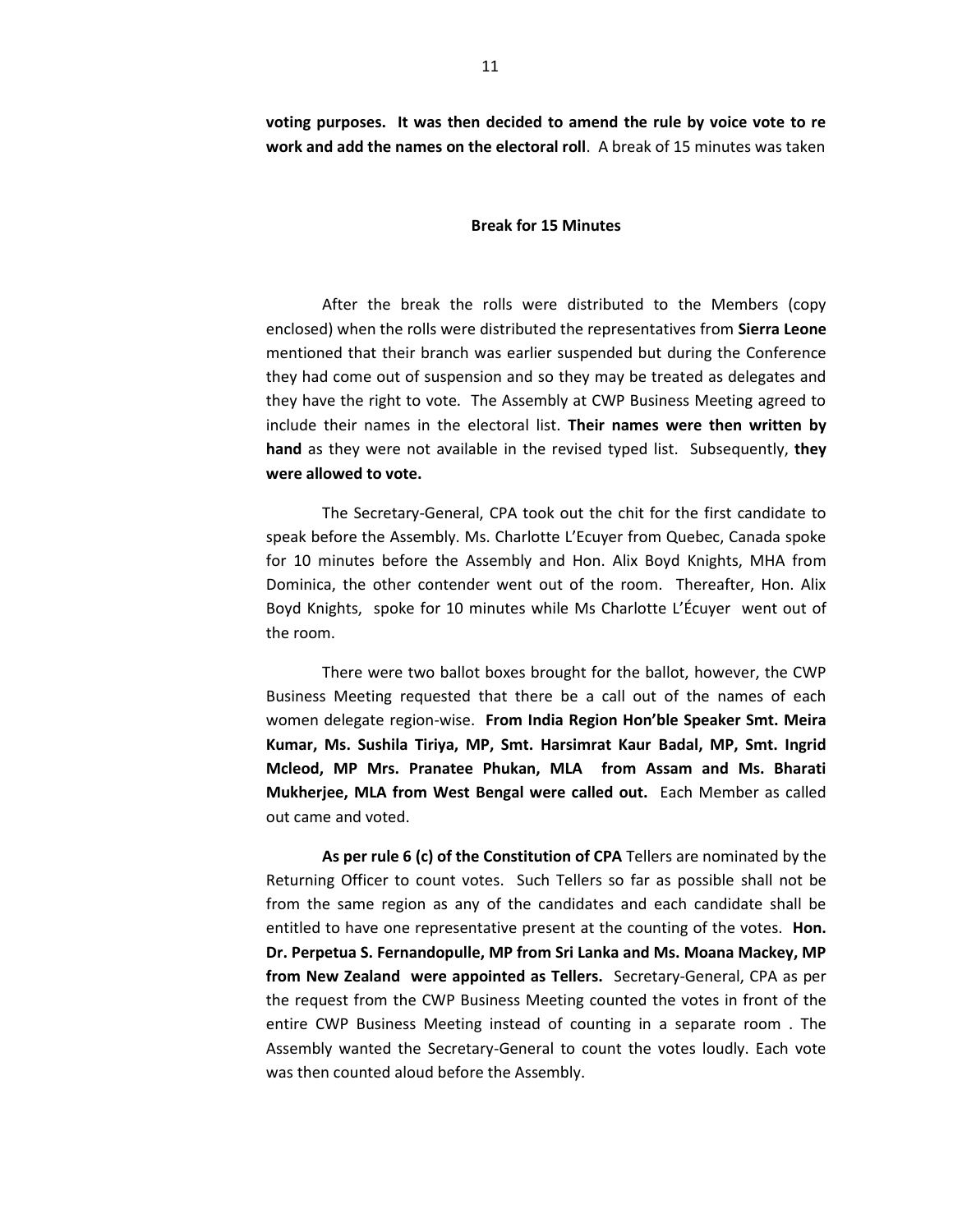**voting purposes. It was then decided to amend the rule by voice vote to re work and add the names on the electoral roll**. A break of 15 minutes was taken

#### **Break for 15 Minutes**

After the break the rolls were distributed to the Members (copy enclosed) when the rolls were distributed the representatives from **Sierra Leone** mentioned that their branch was earlier suspended but during the Conference they had come out of suspension and so they may be treated as delegates and they have the right to vote. The Assembly at CWP Business Meeting agreed to include their names in the electoral list. **Their names were then written by hand** as they were not available in the revised typed list. Subsequently, **they were allowed to vote.**

The Secretary-General, CPA took out the chit for the first candidate to speak before the Assembly. Ms. Charlotte L'Ecuyer from Quebec, Canada spoke for 10 minutes before the Assembly and Hon. Alix Boyd Knights, MHA from Dominica, the other contender went out of the room. Thereafter, Hon. Alix Boyd Knights, spoke for 10 minutes while Ms Charlotte L'Écuyer went out of the room.

There were two ballot boxes brought for the ballot, however, the CWP Business Meeting requested that there be a call out of the names of each women delegate region-wise. **From India Region Hon'ble Speaker Smt. Meira Kumar, Ms. Sushila Tiriya, MP, Smt. Harsimrat Kaur Badal, MP, Smt. Ingrid Mcleod, MP Mrs. Pranatee Phukan, MLA from Assam and Ms. Bharati Mukherjee, MLA from West Bengal were called out.** Each Member as called out came and voted.

**As per rule 6 (c) of the Constitution of CPA** Tellers are nominated by the Returning Officer to count votes. Such Tellers so far as possible shall not be from the same region as any of the candidates and each candidate shall be entitled to have one representative present at the counting of the votes. **Hon. Dr. Perpetua S. Fernandopulle, MP from Sri Lanka and Ms. Moana Mackey, MP from New Zealand were appointed as Tellers.** Secretary-General, CPA as per the request from the CWP Business Meeting counted the votes in front of the entire CWP Business Meeting instead of counting in a separate room . The Assembly wanted the Secretary-General to count the votes loudly. Each vote was then counted aloud before the Assembly.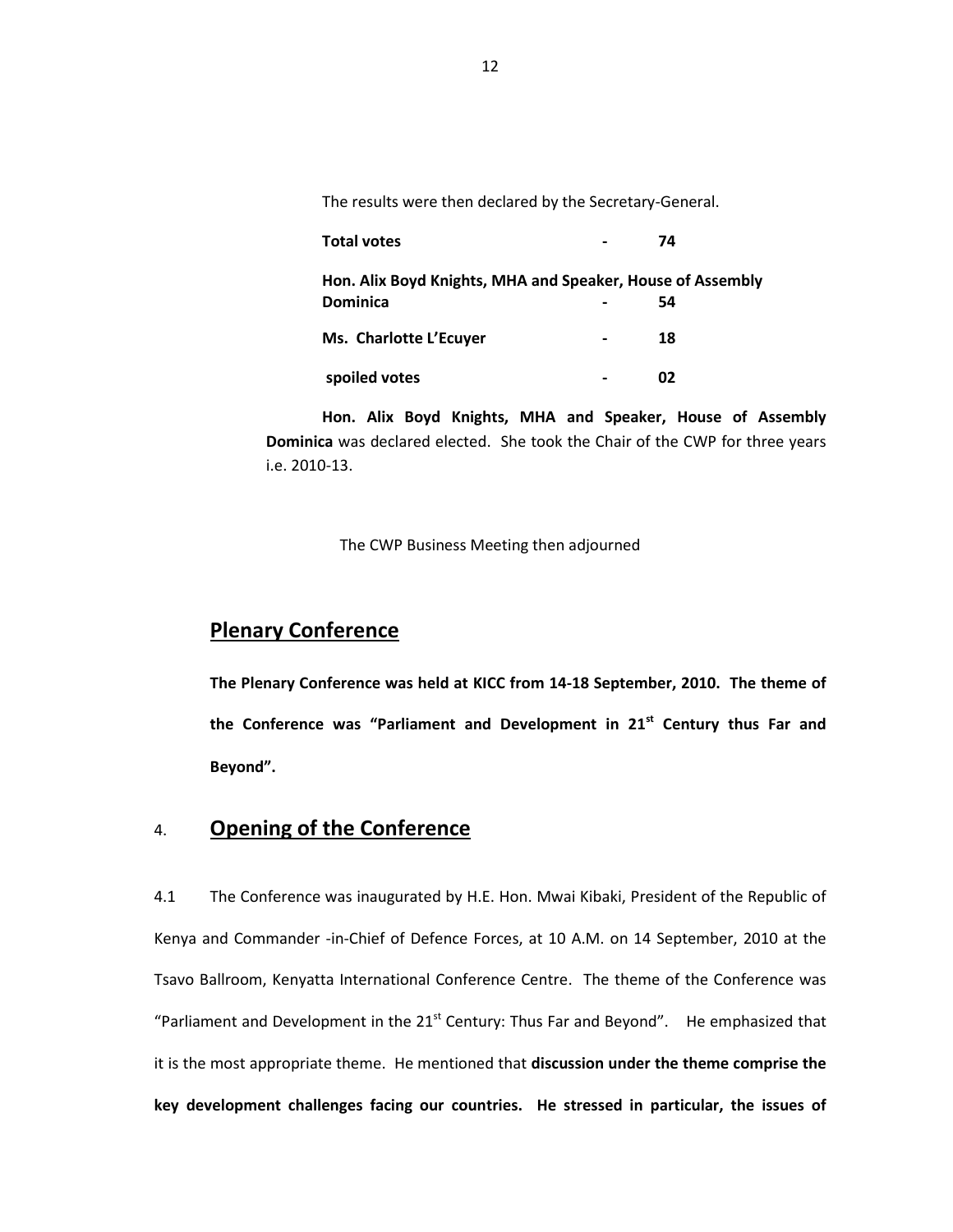The results were then declared by the Secretary-General.

| <b>Total votes</b>                                                            | 74  |
|-------------------------------------------------------------------------------|-----|
| Hon. Alix Boyd Knights, MHA and Speaker, House of Assembly<br><b>Dominica</b> | 54  |
| Ms. Charlotte L'Ecuyer                                                        | 18  |
| spoiled votes                                                                 | ุกว |

**Hon. Alix Boyd Knights, MHA and Speaker, House of Assembly Dominica** was declared elected. She took the Chair of the CWP for three years i.e. 2010-13.

The CWP Business Meeting then adjourned

### **Plenary Conference**

**The Plenary Conference was held at KICC from 14-18 September, 2010. The theme of the Conference was "Parliament and Development in 21st Century thus Far and Beyond".** 

# 4. **Opening of the Conference**

4.1 The Conference was inaugurated by H.E. Hon. Mwai Kibaki, President of the Republic of Kenya and Commander -in-Chief of Defence Forces, at 10 A.M. on 14 September, 2010 at the Tsavo Ballroom, Kenyatta International Conference Centre. The theme of the Conference was "Parliament and Development in the  $21<sup>st</sup>$  Century: Thus Far and Beyond". He emphasized that it is the most appropriate theme. He mentioned that **discussion under the theme comprise the key development challenges facing our countries. He stressed in particular, the issues of**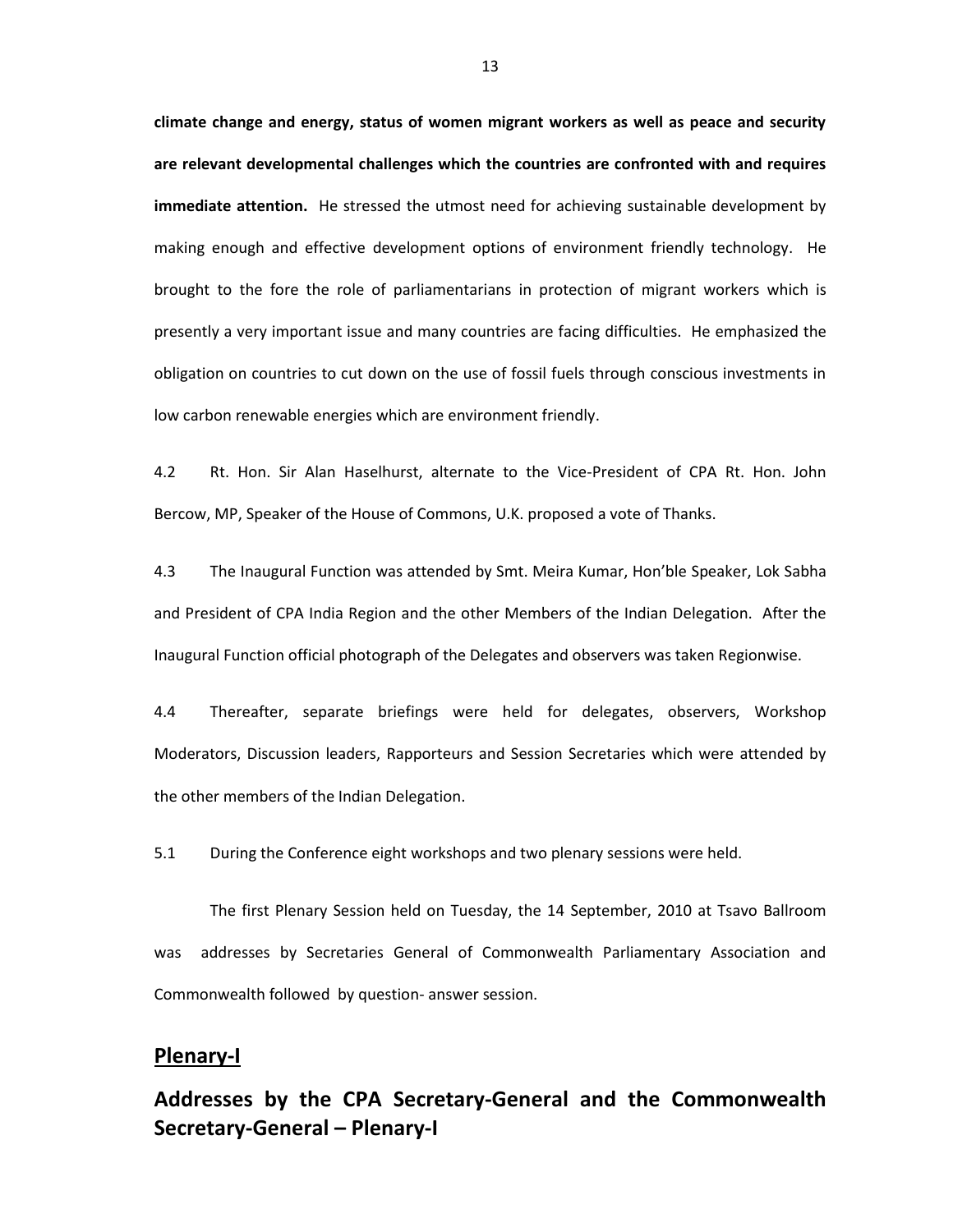**climate change and energy, status of women migrant workers as well as peace and security are relevant developmental challenges which the countries are confronted with and requires immediate attention.** He stressed the utmost need for achieving sustainable development by making enough and effective development options of environment friendly technology. He brought to the fore the role of parliamentarians in protection of migrant workers which is presently a very important issue and many countries are facing difficulties. He emphasized the obligation on countries to cut down on the use of fossil fuels through conscious investments in low carbon renewable energies which are environment friendly.

4.2 Rt. Hon. Sir Alan Haselhurst, alternate to the Vice-President of CPA Rt. Hon. John Bercow, MP, Speaker of the House of Commons, U.K. proposed a vote of Thanks.

4.3 The Inaugural Function was attended by Smt. Meira Kumar, Hon'ble Speaker, Lok Sabha and President of CPA India Region and the other Members of the Indian Delegation. After the Inaugural Function official photograph of the Delegates and observers was taken Regionwise.

4.4 Thereafter, separate briefings were held for delegates, observers, Workshop Moderators, Discussion leaders, Rapporteurs and Session Secretaries which were attended by the other members of the Indian Delegation.

5.1 During the Conference eight workshops and two plenary sessions were held.

The first Plenary Session held on Tuesday, the 14 September, 2010 at Tsavo Ballroom was addresses by Secretaries General of Commonwealth Parliamentary Association and Commonwealth followed by question- answer session.

### **Plenary-I**

**Addresses by the CPA Secretary-General and the Commonwealth Secretary-General – Plenary-I**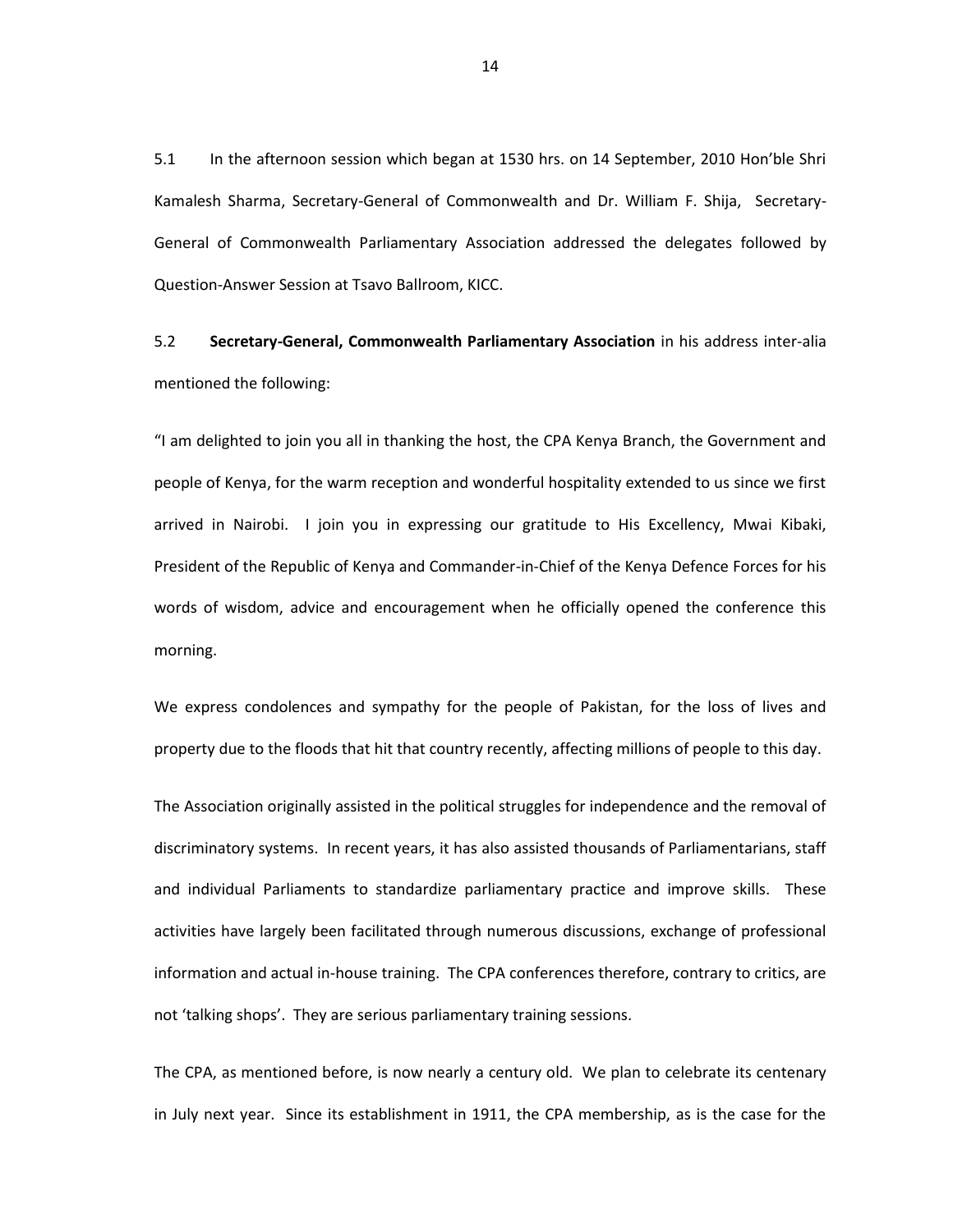5.1 In the afternoon session which began at 1530 hrs. on 14 September, 2010 Hon'ble Shri Kamalesh Sharma, Secretary-General of Commonwealth and Dr. William F. Shija, Secretary-General of Commonwealth Parliamentary Association addressed the delegates followed by Question-Answer Session at Tsavo Ballroom, KICC.

5.2 **Secretary-General, Commonwealth Parliamentary Association** in his address inter-alia mentioned the following:

"I am delighted to join you all in thanking the host, the CPA Kenya Branch, the Government and people of Kenya, for the warm reception and wonderful hospitality extended to us since we first arrived in Nairobi. I join you in expressing our gratitude to His Excellency, Mwai Kibaki, President of the Republic of Kenya and Commander-in-Chief of the Kenya Defence Forces for his words of wisdom, advice and encouragement when he officially opened the conference this morning.

We express condolences and sympathy for the people of Pakistan, for the loss of lives and property due to the floods that hit that country recently, affecting millions of people to this day.

The Association originally assisted in the political struggles for independence and the removal of discriminatory systems. In recent years, it has also assisted thousands of Parliamentarians, staff and individual Parliaments to standardize parliamentary practice and improve skills. These activities have largely been facilitated through numerous discussions, exchange of professional information and actual in-house training. The CPA conferences therefore, contrary to critics, are not 'talking shops'. They are serious parliamentary training sessions.

The CPA, as mentioned before, is now nearly a century old. We plan to celebrate its centenary in July next year. Since its establishment in 1911, the CPA membership, as is the case for the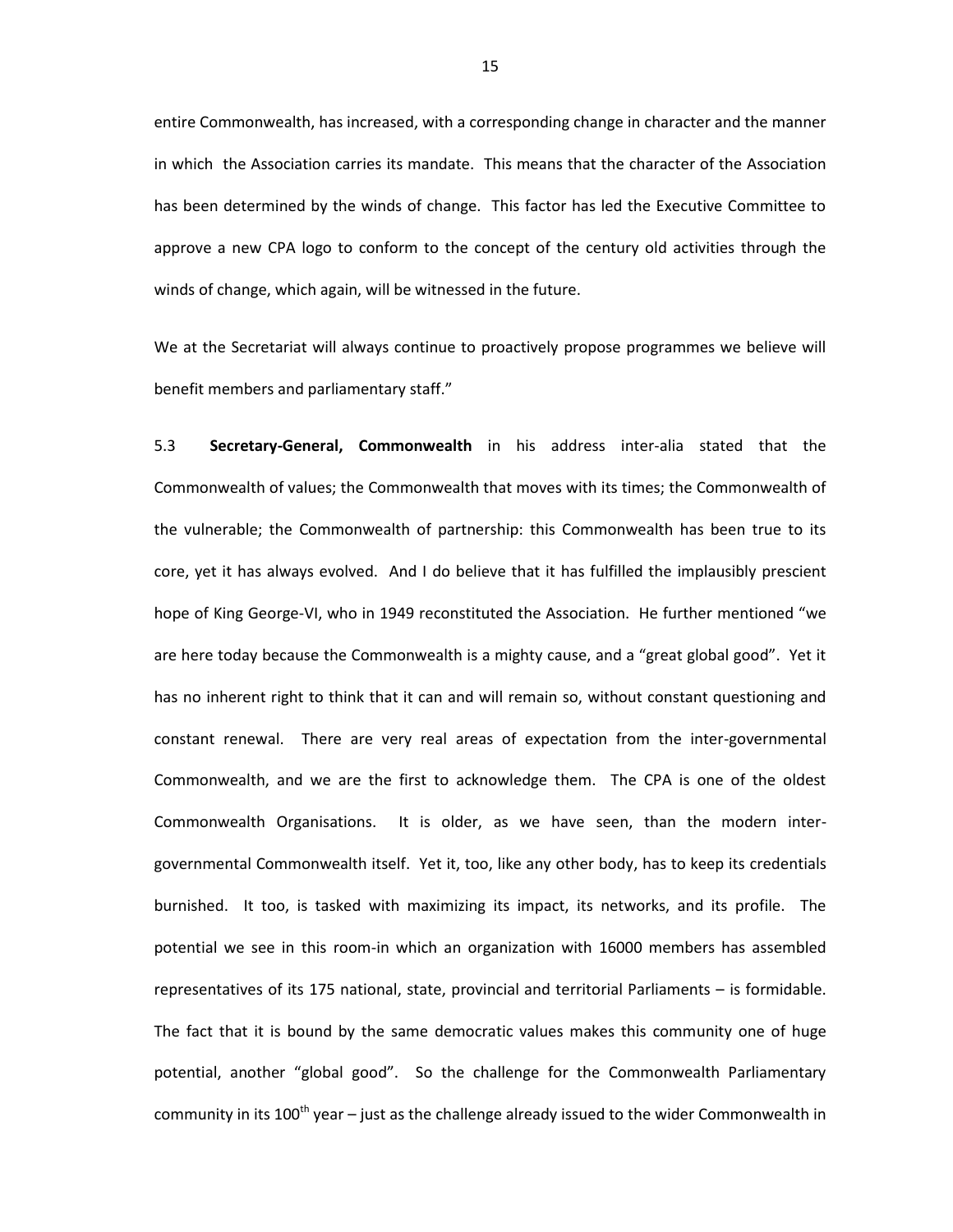entire Commonwealth, has increased, with a corresponding change in character and the manner in which the Association carries its mandate. This means that the character of the Association has been determined by the winds of change. This factor has led the Executive Committee to approve a new CPA logo to conform to the concept of the century old activities through the winds of change, which again, will be witnessed in the future.

We at the Secretariat will always continue to proactively propose programmes we believe will benefit members and parliamentary staff."

5.3 **Secretary-General, Commonwealth** in his address inter-alia stated that the Commonwealth of values; the Commonwealth that moves with its times; the Commonwealth of the vulnerable; the Commonwealth of partnership: this Commonwealth has been true to its core, yet it has always evolved. And I do believe that it has fulfilled the implausibly prescient hope of King George-VI, who in 1949 reconstituted the Association. He further mentioned "we are here today because the Commonwealth is a mighty cause, and a "great global good". Yet it has no inherent right to think that it can and will remain so, without constant questioning and constant renewal. There are very real areas of expectation from the inter-governmental Commonwealth, and we are the first to acknowledge them. The CPA is one of the oldest Commonwealth Organisations. It is older, as we have seen, than the modern intergovernmental Commonwealth itself. Yet it, too, like any other body, has to keep its credentials burnished. It too, is tasked with maximizing its impact, its networks, and its profile. The potential we see in this room-in which an organization with 16000 members has assembled representatives of its 175 national, state, provincial and territorial Parliaments – is formidable. The fact that it is bound by the same democratic values makes this community one of huge potential, another "global good". So the challenge for the Commonwealth Parliamentary community in its 100<sup>th</sup> year – just as the challenge already issued to the wider Commonwealth in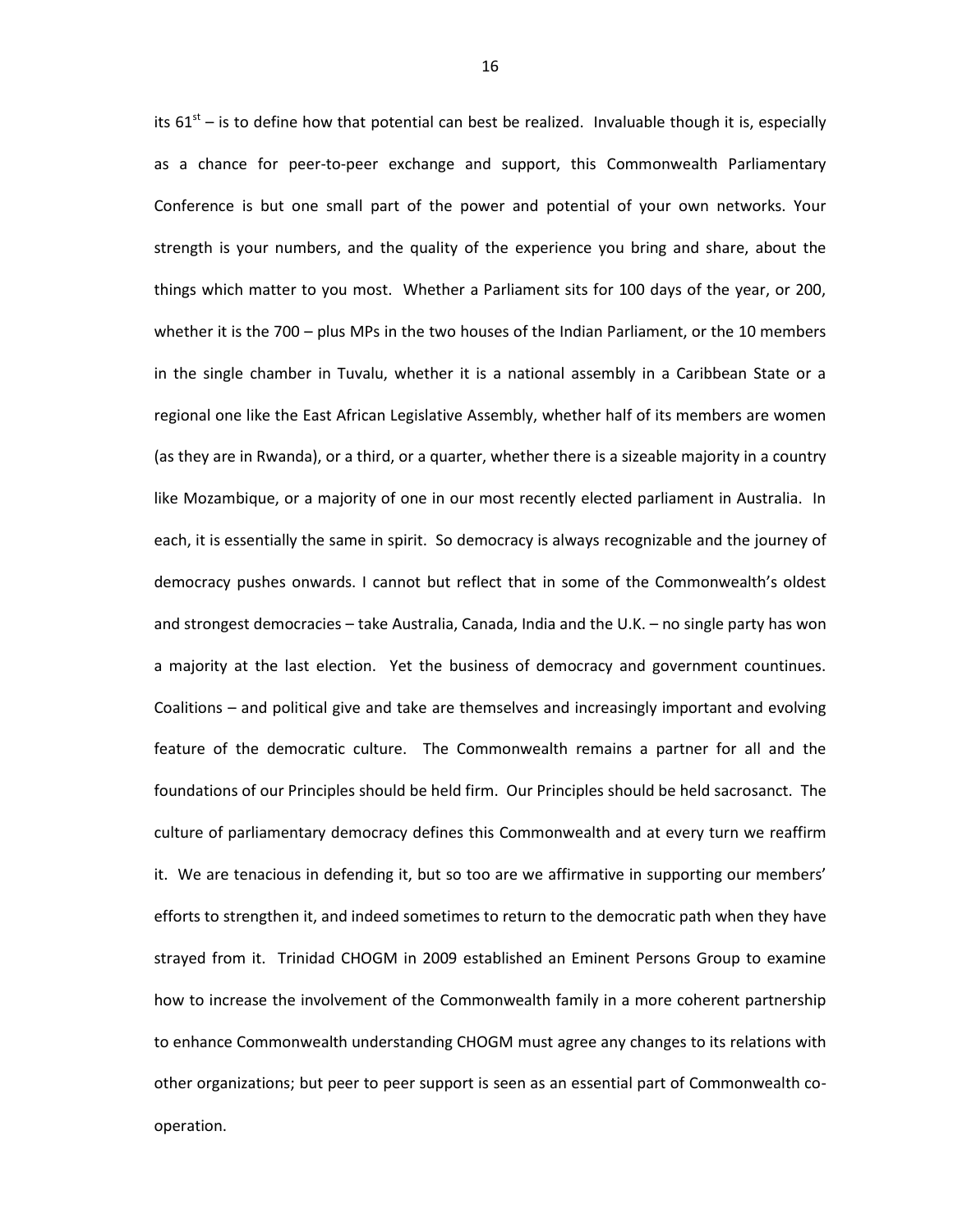its  $61<sup>st</sup>$  – is to define how that potential can best be realized. Invaluable though it is, especially as a chance for peer-to-peer exchange and support, this Commonwealth Parliamentary Conference is but one small part of the power and potential of your own networks. Your strength is your numbers, and the quality of the experience you bring and share, about the things which matter to you most. Whether a Parliament sits for 100 days of the year, or 200, whether it is the 700 – plus MPs in the two houses of the Indian Parliament, or the 10 members in the single chamber in Tuvalu, whether it is a national assembly in a Caribbean State or a regional one like the East African Legislative Assembly, whether half of its members are women (as they are in Rwanda), or a third, or a quarter, whether there is a sizeable majority in a country like Mozambique, or a majority of one in our most recently elected parliament in Australia. In each, it is essentially the same in spirit. So democracy is always recognizable and the journey of democracy pushes onwards. I cannot but reflect that in some of the Commonwealth's oldest and strongest democracies – take Australia, Canada, India and the U.K. – no single party has won a majority at the last election. Yet the business of democracy and government countinues. Coalitions – and political give and take are themselves and increasingly important and evolving feature of the democratic culture. The Commonwealth remains a partner for all and the foundations of our Principles should be held firm. Our Principles should be held sacrosanct. The culture of parliamentary democracy defines this Commonwealth and at every turn we reaffirm it. We are tenacious in defending it, but so too are we affirmative in supporting our members' efforts to strengthen it, and indeed sometimes to return to the democratic path when they have strayed from it. Trinidad CHOGM in 2009 established an Eminent Persons Group to examine how to increase the involvement of the Commonwealth family in a more coherent partnership to enhance Commonwealth understanding CHOGM must agree any changes to its relations with other organizations; but peer to peer support is seen as an essential part of Commonwealth cooperation.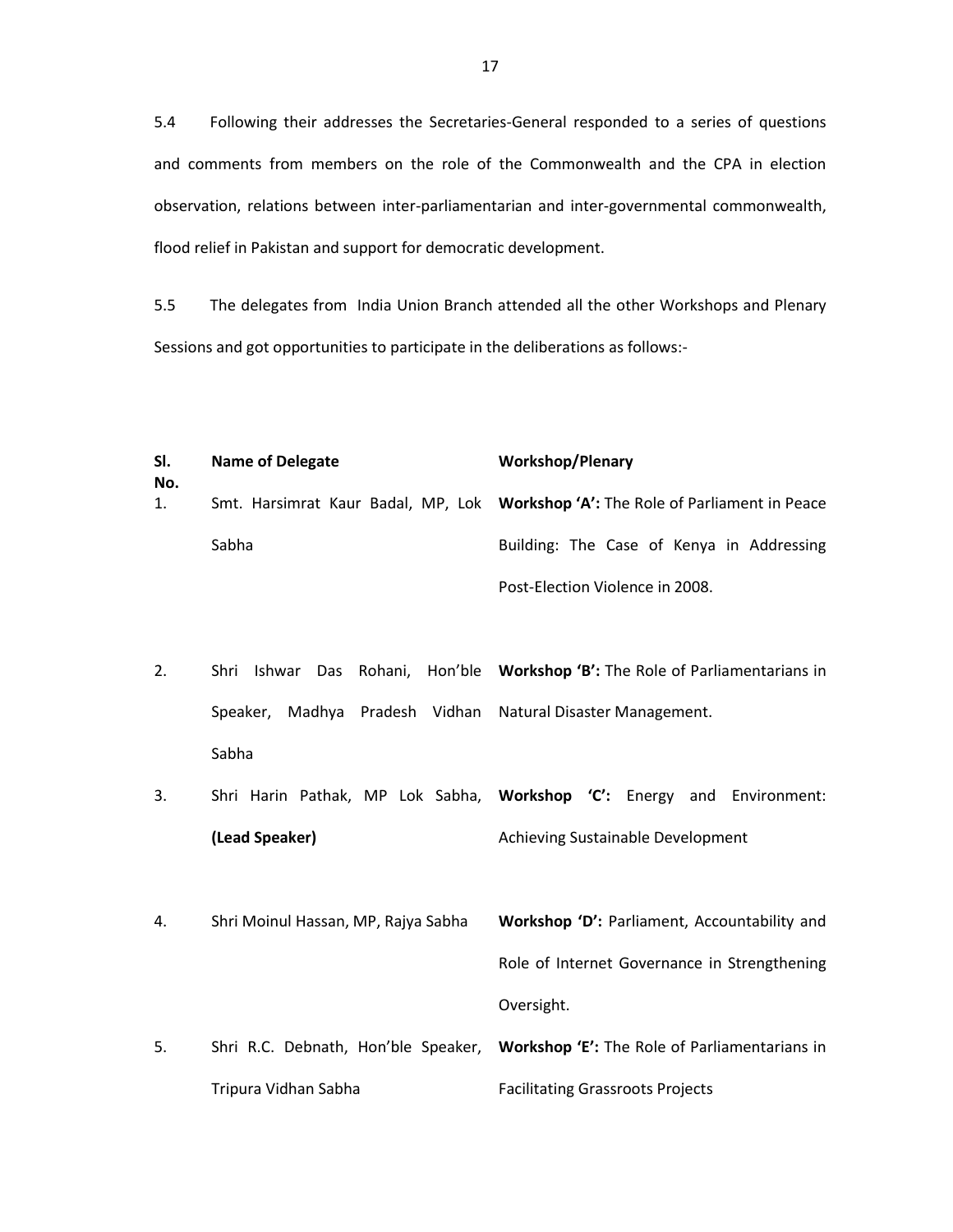5.4 Following their addresses the Secretaries-General responded to a series of questions and comments from members on the role of the Commonwealth and the CPA in election observation, relations between inter-parliamentarian and inter-governmental commonwealth, flood relief in Pakistan and support for democratic development.

5.5 The delegates from India Union Branch attended all the other Workshops and Plenary Sessions and got opportunities to participate in the deliberations as follows:-

| SI.<br>No. | Name of Delegate | <b>Workshop/Plenary</b>                                                          |  |
|------------|------------------|----------------------------------------------------------------------------------|--|
| 1.         |                  | Smt. Harsimrat Kaur Badal, MP, Lok Workshop 'A': The Role of Parliament in Peace |  |
|            | Sabha            | Building: The Case of Kenya in Addressing                                        |  |
|            |                  | Post-Election Violence in 2008.                                                  |  |

2. Shri Ishwar Das Rohani, Hon'ble **Workshop 'B':** The Role of Parliamentarians in Speaker, Madhya Pradesh Vidhan Natural Disaster Management. Sabha

3. Shri Harin Pathak, MP Lok Sabha, **Workshop 'C':** Energy and Environment: **(Lead Speaker)** Achieving Sustainable Development

4. Shri Moinul Hassan, MP, Rajya Sabha **Workshop 'D':** Parliament, Accountability and Role of Internet Governance in Strengthening Oversight.

5. Shri R.C. Debnath, Hon'ble Speaker, **Workshop 'E':** The Role of Parliamentarians in Tripura Vidhan Sabha Facilitating Grassroots Projects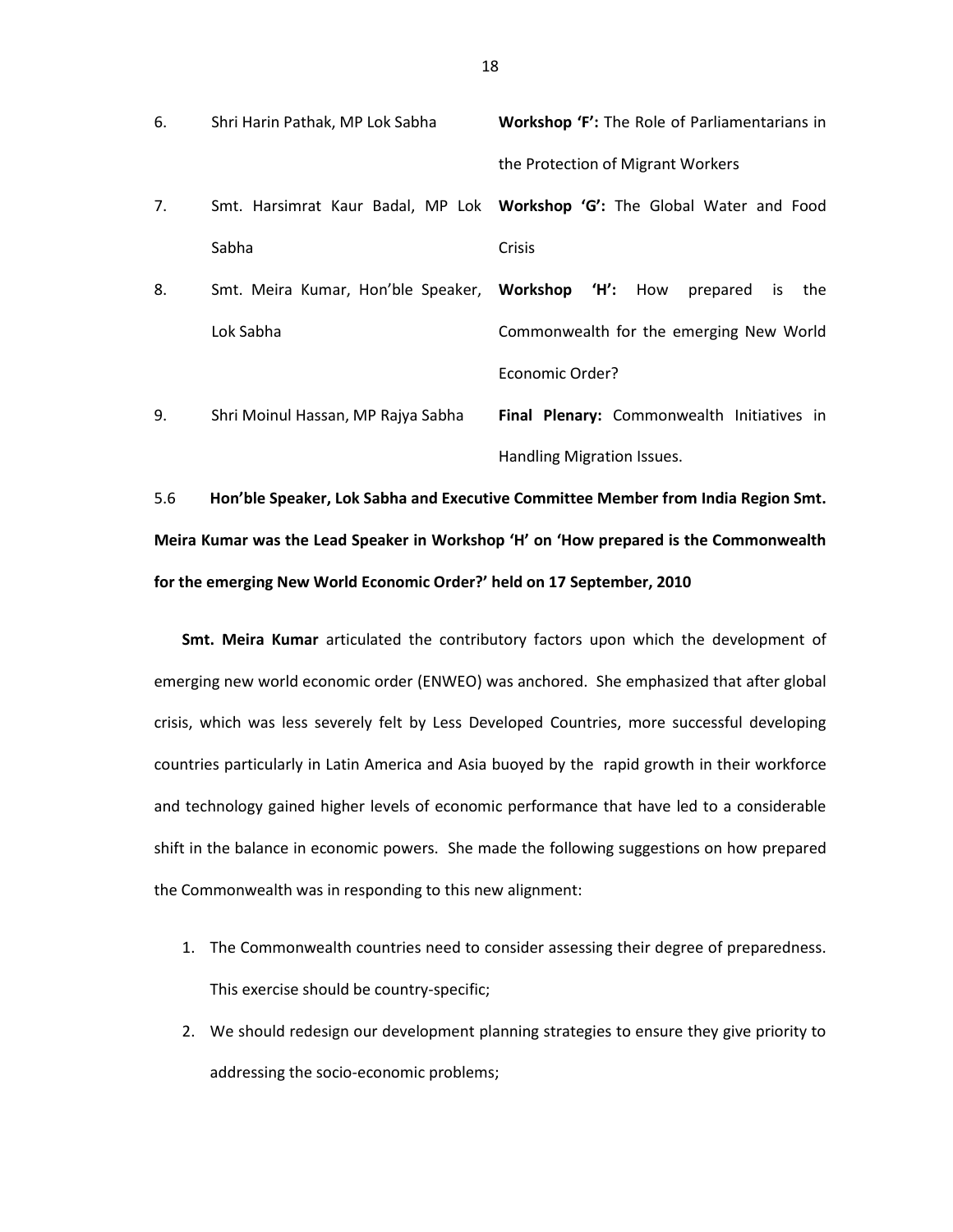- 6. Shri Harin Pathak, MP Lok Sabha **Workshop 'F':** The Role of Parliamentarians in the Protection of Migrant Workers
- 7. Smt. Harsimrat Kaur Badal, MP Lok **Workshop 'G':** The Global Water and Food Sabha Crisis
- 8. Smt. Meira Kumar, Hon'ble Speaker, **Workshop 'H':** How prepared is the Lok Sabha Commonwealth for the emerging New World Economic Order?
- 9. Shri Moinul Hassan, MP Rajya Sabha **Final Plenary:** Commonwealth Initiatives in Handling Migration Issues.

5.6 **Hon'ble Speaker, Lok Sabha and Executive Committee Member from India Region Smt. Meira Kumar was the Lead Speaker in Workshop 'H' on 'How prepared is the Commonwealth for the emerging New World Economic Order?' held on 17 September, 2010**

**Smt. Meira Kumar** articulated the contributory factors upon which the development of emerging new world economic order (ENWEO) was anchored. She emphasized that after global crisis, which was less severely felt by Less Developed Countries, more successful developing countries particularly in Latin America and Asia buoyed by the rapid growth in their workforce and technology gained higher levels of economic performance that have led to a considerable shift in the balance in economic powers. She made the following suggestions on how prepared the Commonwealth was in responding to this new alignment:

- 1. The Commonwealth countries need to consider assessing their degree of preparedness. This exercise should be country-specific;
- 2. We should redesign our development planning strategies to ensure they give priority to addressing the socio-economic problems;

18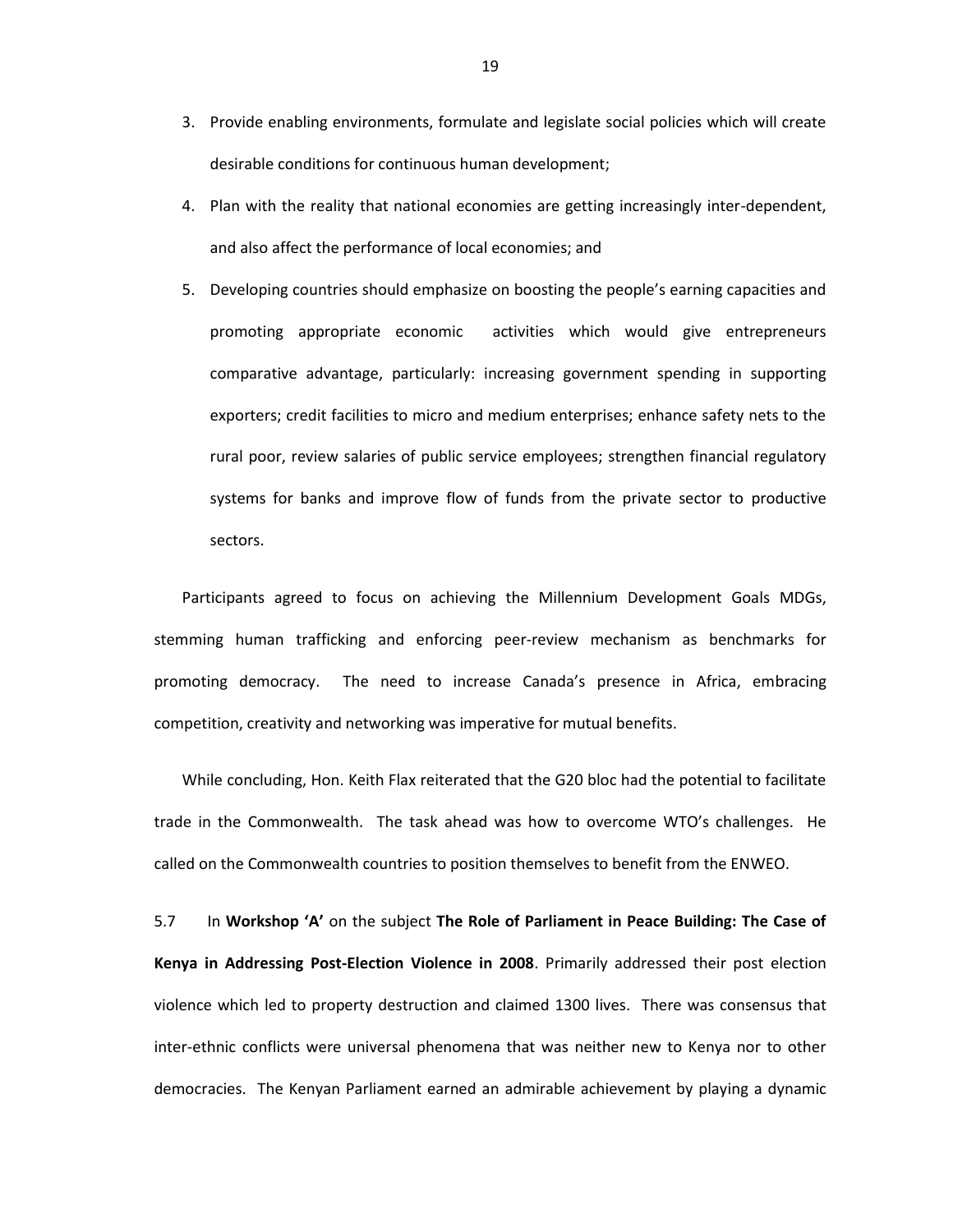- 3. Provide enabling environments, formulate and legislate social policies which will create desirable conditions for continuous human development;
- 4. Plan with the reality that national economies are getting increasingly inter-dependent, and also affect the performance of local economies; and
- 5. Developing countries should emphasize on boosting the people's earning capacities and promoting appropriate economic activities which would give entrepreneurs comparative advantage, particularly: increasing government spending in supporting exporters; credit facilities to micro and medium enterprises; enhance safety nets to the rural poor, review salaries of public service employees; strengthen financial regulatory systems for banks and improve flow of funds from the private sector to productive sectors.

Participants agreed to focus on achieving the Millennium Development Goals MDGs, stemming human trafficking and enforcing peer-review mechanism as benchmarks for promoting democracy. The need to increase Canada's presence in Africa, embracing competition, creativity and networking was imperative for mutual benefits.

While concluding, Hon. Keith Flax reiterated that the G20 bloc had the potential to facilitate trade in the Commonwealth. The task ahead was how to overcome WTO's challenges. He called on the Commonwealth countries to position themselves to benefit from the ENWEO.

5.7 In **Workshop 'A'** on the subject **The Role of Parliament in Peace Building: The Case of Kenya in Addressing Post-Election Violence in 2008**. Primarily addressed their post election violence which led to property destruction and claimed 1300 lives. There was consensus that inter-ethnic conflicts were universal phenomena that was neither new to Kenya nor to other democracies. The Kenyan Parliament earned an admirable achievement by playing a dynamic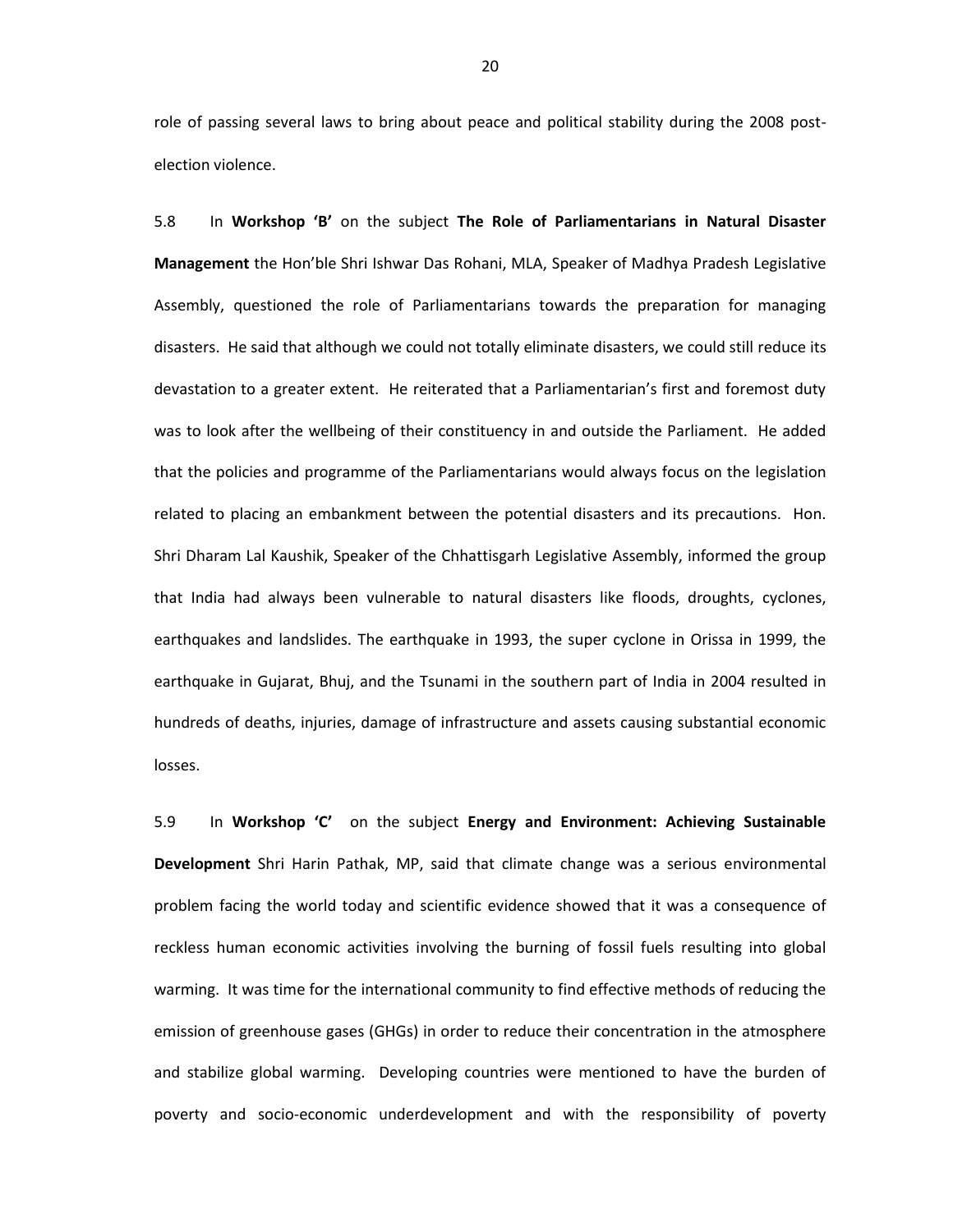role of passing several laws to bring about peace and political stability during the 2008 postelection violence.

5.8 In **Workshop 'B'** on the subject **The Role of Parliamentarians in Natural Disaster Management** the Hon'ble Shri Ishwar Das Rohani, MLA, Speaker of Madhya Pradesh Legislative Assembly, questioned the role of Parliamentarians towards the preparation for managing disasters. He said that although we could not totally eliminate disasters, we could still reduce its devastation to a greater extent. He reiterated that a Parliamentarian's first and foremost duty was to look after the wellbeing of their constituency in and outside the Parliament. He added that the policies and programme of the Parliamentarians would always focus on the legislation related to placing an embankment between the potential disasters and its precautions. Hon. Shri Dharam Lal Kaushik, Speaker of the Chhattisgarh Legislative Assembly, informed the group that India had always been vulnerable to natural disasters like floods, droughts, cyclones, earthquakes and landslides. The earthquake in 1993, the super cyclone in Orissa in 1999, the earthquake in Gujarat, Bhuj, and the Tsunami in the southern part of India in 2004 resulted in hundreds of deaths, injuries, damage of infrastructure and assets causing substantial economic losses.

5.9 In **Workshop 'C'** on the subject **Energy and Environment: Achieving Sustainable Development** Shri Harin Pathak, MP, said that climate change was a serious environmental problem facing the world today and scientific evidence showed that it was a consequence of reckless human economic activities involving the burning of fossil fuels resulting into global warming. It was time for the international community to find effective methods of reducing the emission of greenhouse gases (GHGs) in order to reduce their concentration in the atmosphere and stabilize global warming. Developing countries were mentioned to have the burden of poverty and socio-economic underdevelopment and with the responsibility of poverty

20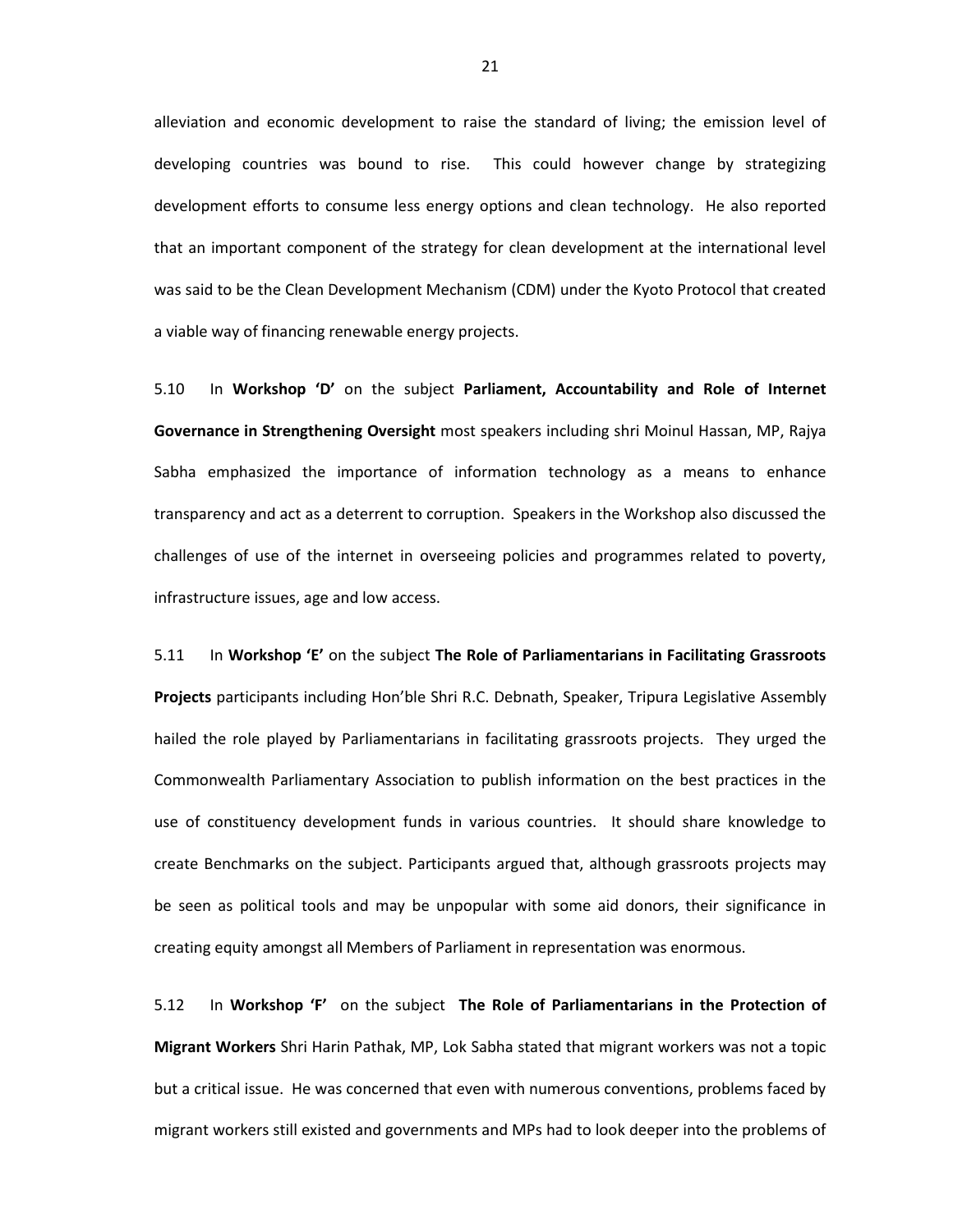alleviation and economic development to raise the standard of living; the emission level of developing countries was bound to rise. This could however change by strategizing development efforts to consume less energy options and clean technology. He also reported that an important component of the strategy for clean development at the international level was said to be the Clean Development Mechanism (CDM) under the Kyoto Protocol that created a viable way of financing renewable energy projects.

5.10 In **Workshop 'D'** on the subject **Parliament, Accountability and Role of Internet Governance in Strengthening Oversight** most speakers including shri Moinul Hassan, MP, Rajya Sabha emphasized the importance of information technology as a means to enhance transparency and act as a deterrent to corruption. Speakers in the Workshop also discussed the challenges of use of the internet in overseeing policies and programmes related to poverty, infrastructure issues, age and low access.

5.11 In **Workshop 'E'** on the subject **The Role of Parliamentarians in Facilitating Grassroots Projects** participants including Hon'ble Shri R.C. Debnath, Speaker, Tripura Legislative Assembly hailed the role played by Parliamentarians in facilitating grassroots projects. They urged the Commonwealth Parliamentary Association to publish information on the best practices in the use of constituency development funds in various countries. It should share knowledge to create Benchmarks on the subject. Participants argued that, although grassroots projects may be seen as political tools and may be unpopular with some aid donors, their significance in creating equity amongst all Members of Parliament in representation was enormous.

5.12 In **Workshop 'F'** on the subject **The Role of Parliamentarians in the Protection of Migrant Workers** Shri Harin Pathak, MP, Lok Sabha stated that migrant workers was not a topic but a critical issue. He was concerned that even with numerous conventions, problems faced by migrant workers still existed and governments and MPs had to look deeper into the problems of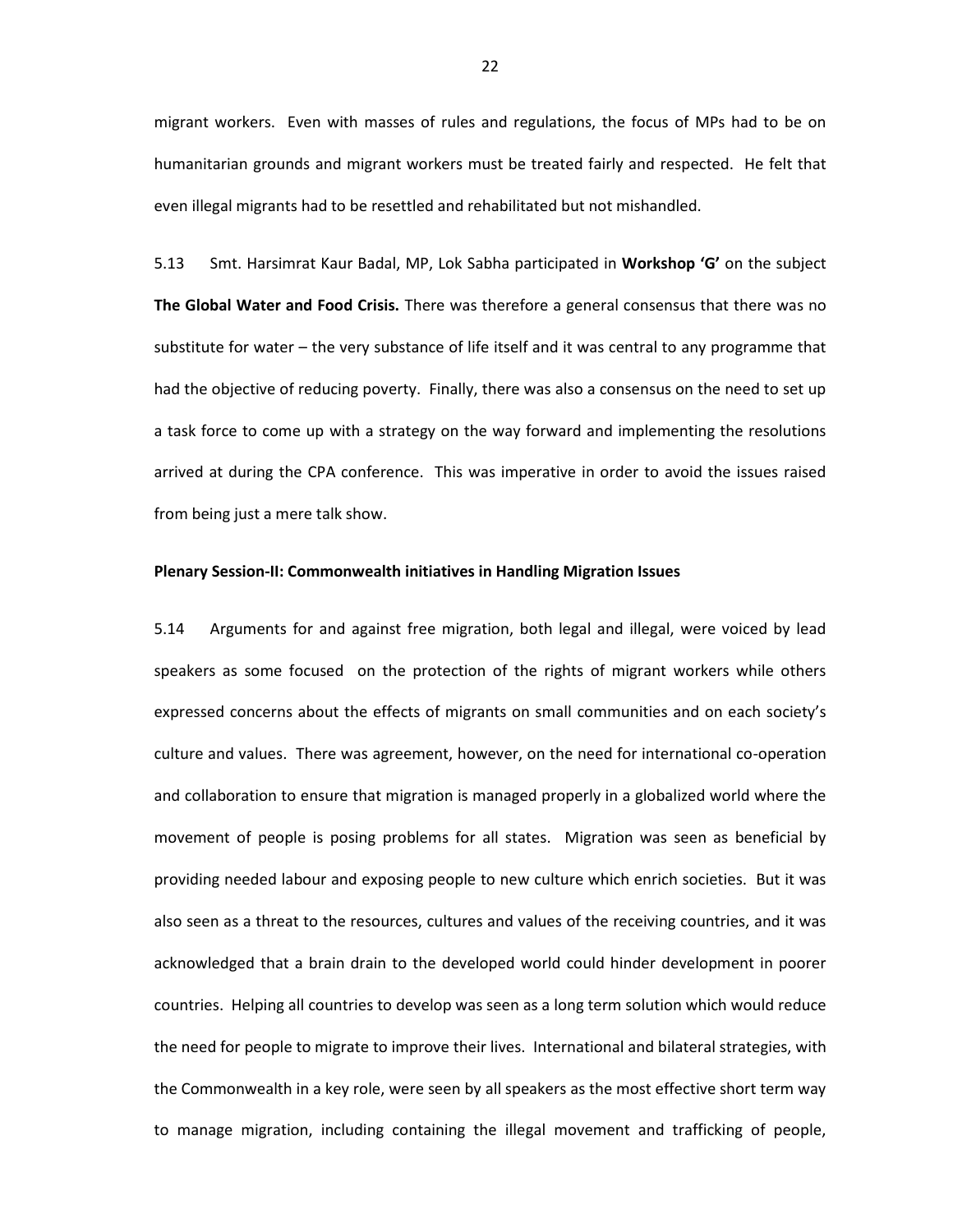migrant workers. Even with masses of rules and regulations, the focus of MPs had to be on humanitarian grounds and migrant workers must be treated fairly and respected. He felt that even illegal migrants had to be resettled and rehabilitated but not mishandled.

5.13 Smt. Harsimrat Kaur Badal, MP, Lok Sabha participated in **Workshop 'G'** on the subject **The Global Water and Food Crisis.** There was therefore a general consensus that there was no substitute for water – the very substance of life itself and it was central to any programme that had the objective of reducing poverty. Finally, there was also a consensus on the need to set up a task force to come up with a strategy on the way forward and implementing the resolutions arrived at during the CPA conference. This was imperative in order to avoid the issues raised from being just a mere talk show.

#### **Plenary Session-II: Commonwealth initiatives in Handling Migration Issues**

5.14 Arguments for and against free migration, both legal and illegal, were voiced by lead speakers as some focused on the protection of the rights of migrant workers while others expressed concerns about the effects of migrants on small communities and on each society's culture and values. There was agreement, however, on the need for international co-operation and collaboration to ensure that migration is managed properly in a globalized world where the movement of people is posing problems for all states. Migration was seen as beneficial by providing needed labour and exposing people to new culture which enrich societies. But it was also seen as a threat to the resources, cultures and values of the receiving countries, and it was acknowledged that a brain drain to the developed world could hinder development in poorer countries. Helping all countries to develop was seen as a long term solution which would reduce the need for people to migrate to improve their lives. International and bilateral strategies, with the Commonwealth in a key role, were seen by all speakers as the most effective short term way to manage migration, including containing the illegal movement and trafficking of people,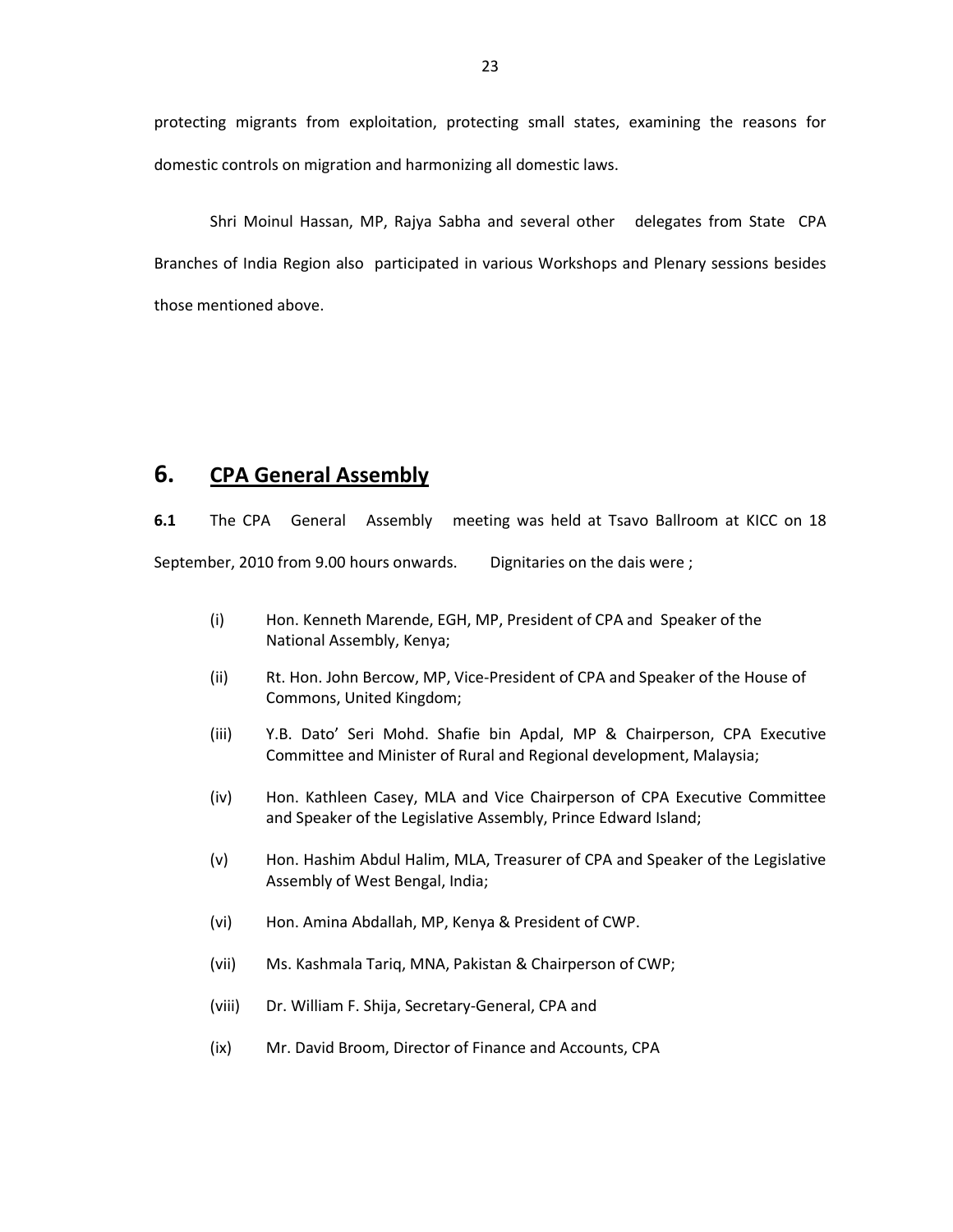protecting migrants from exploitation, protecting small states, examining the reasons for domestic controls on migration and harmonizing all domestic laws.

Shri Moinul Hassan, MP, Rajya Sabha and several other delegates from State CPA Branches of India Region also participated in various Workshops and Plenary sessions besides those mentioned above.

### **6. CPA General Assembly**

**6.1** The CPA General Assembly meeting was held at Tsavo Ballroom at KICC on 18 September, 2010 from 9.00 hours onwards. Dignitaries on the dais were;

- (i) Hon. Kenneth Marende, EGH, MP, President of CPA and Speaker of the National Assembly, Kenya;
- (ii) Rt. Hon. John Bercow, MP, Vice-President of CPA and Speaker of the House of Commons, United Kingdom;
- (iii) Y.B. Dato' Seri Mohd. Shafie bin Apdal, MP & Chairperson, CPA Executive Committee and Minister of Rural and Regional development, Malaysia;
- (iv) Hon. Kathleen Casey, MLA and Vice Chairperson of CPA Executive Committee and Speaker of the Legislative Assembly, Prince Edward Island;
- (v) Hon. Hashim Abdul Halim, MLA, Treasurer of CPA and Speaker of the Legislative Assembly of West Bengal, India;
- (vi) Hon. Amina Abdallah, MP, Kenya & President of CWP.
- (vii) Ms. Kashmala Tariq, MNA, Pakistan & Chairperson of CWP;
- (viii) Dr. William F. Shija, Secretary-General, CPA and
- (ix) Mr. David Broom, Director of Finance and Accounts, CPA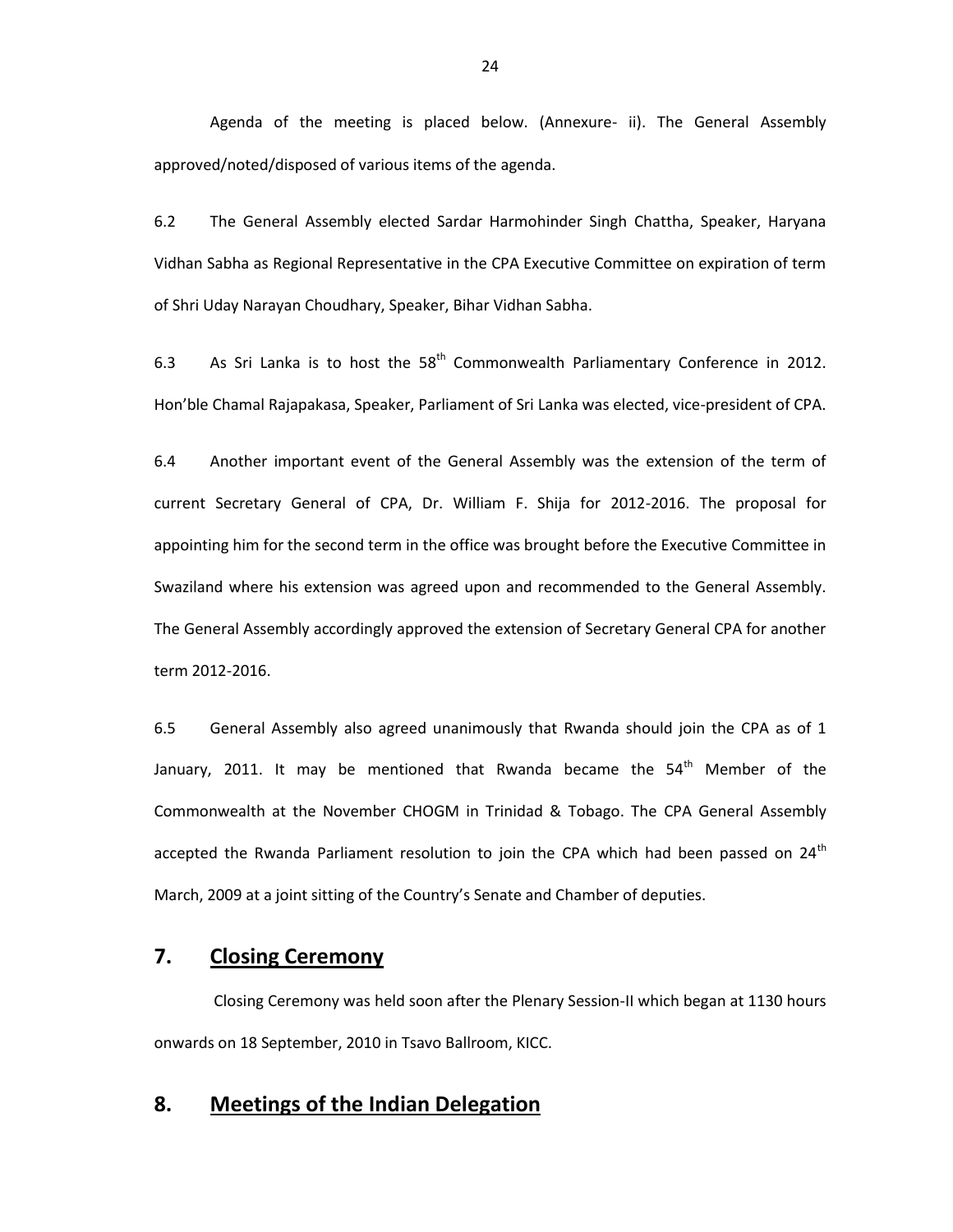Agenda of the meeting is placed below. (Annexure- ii). The General Assembly approved/noted/disposed of various items of the agenda.

6.2 The General Assembly elected Sardar Harmohinder Singh Chattha, Speaker, Haryana Vidhan Sabha as Regional Representative in the CPA Executive Committee on expiration of term of Shri Uday Narayan Choudhary, Speaker, Bihar Vidhan Sabha.

6.3 As Sri Lanka is to host the  $58<sup>th</sup>$  Commonwealth Parliamentary Conference in 2012. Hon'ble Chamal Rajapakasa, Speaker, Parliament of Sri Lanka was elected, vice-president of CPA.

6.4 Another important event of the General Assembly was the extension of the term of current Secretary General of CPA, Dr. William F. Shija for 2012-2016. The proposal for appointing him for the second term in the office was brought before the Executive Committee in Swaziland where his extension was agreed upon and recommended to the General Assembly. The General Assembly accordingly approved the extension of Secretary General CPA for another term 2012-2016.

6.5 General Assembly also agreed unanimously that Rwanda should join the CPA as of 1 January, 2011. It may be mentioned that Rwanda became the  $54<sup>th</sup>$  Member of the Commonwealth at the November CHOGM in Trinidad & Tobago. The CPA General Assembly accepted the Rwanda Parliament resolution to join the CPA which had been passed on  $24<sup>th</sup>$ March, 2009 at a joint sitting of the Country's Senate and Chamber of deputies.

### **7. Closing Ceremony**

Closing Ceremony was held soon after the Plenary Session-II which began at 1130 hours onwards on 18 September, 2010 in Tsavo Ballroom, KICC.

### **8. Meetings of the Indian Delegation**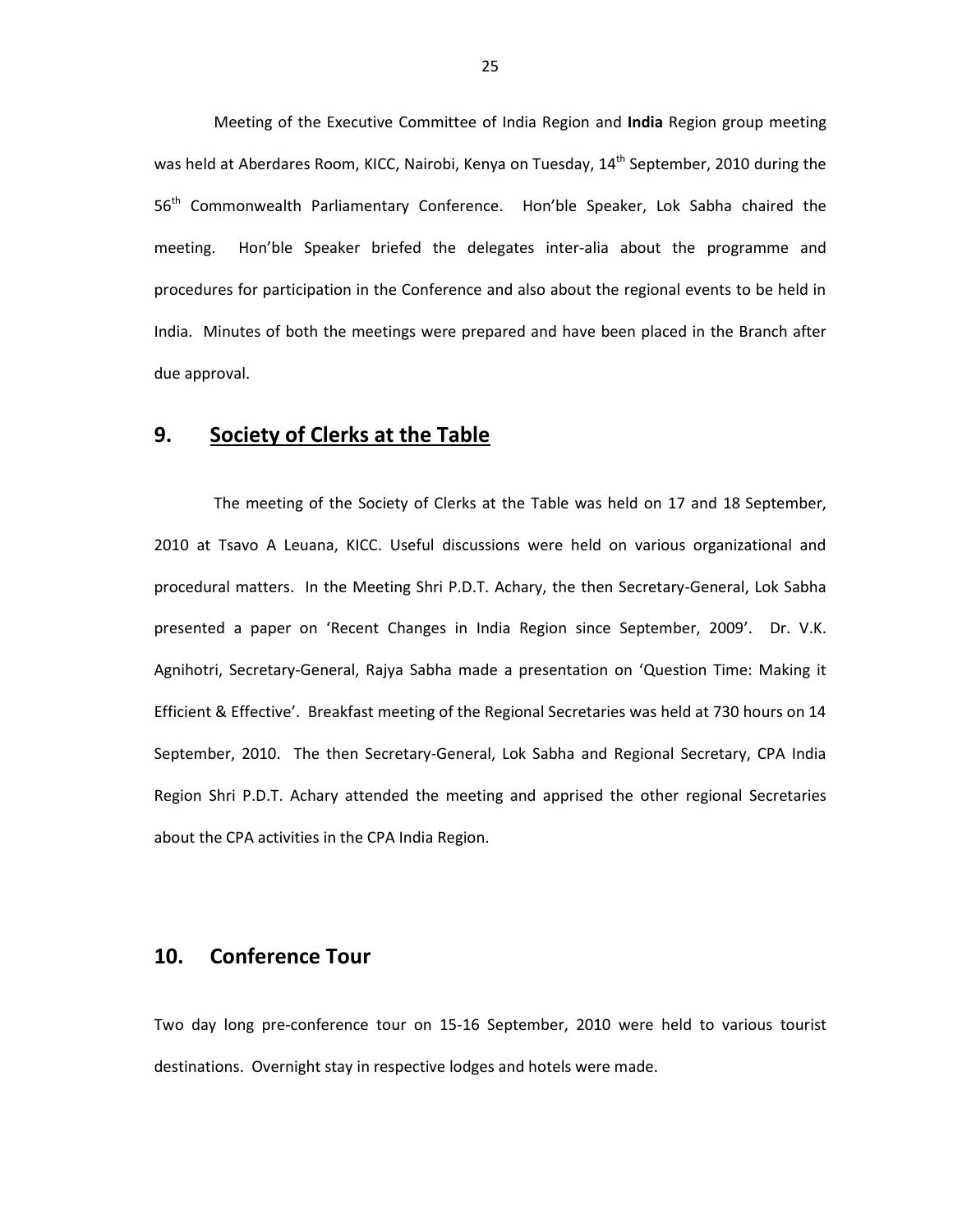Meeting of the Executive Committee of India Region and **India** Region group meeting was held at Aberdares Room, KICC, Nairobi, Kenya on Tuesday, 14<sup>th</sup> September, 2010 during the 56<sup>th</sup> Commonwealth Parliamentary Conference. Hon'ble Speaker, Lok Sabha chaired the meeting. Hon'ble Speaker briefed the delegates inter-alia about the programme and procedures for participation in the Conference and also about the regional events to be held in India. Minutes of both the meetings were prepared and have been placed in the Branch after due approval.

### **9. Society of Clerks at the Table**

The meeting of the Society of Clerks at the Table was held on 17 and 18 September, 2010 at Tsavo A Leuana, KICC. Useful discussions were held on various organizational and procedural matters. In the Meeting Shri P.D.T. Achary, the then Secretary-General, Lok Sabha presented a paper on 'Recent Changes in India Region since September, 2009'. Dr. V.K. Agnihotri, Secretary-General, Rajya Sabha made a presentation on 'Question Time: Making it Efficient & Effective'. Breakfast meeting of the Regional Secretaries was held at 730 hours on 14 September, 2010. The then Secretary-General, Lok Sabha and Regional Secretary, CPA India Region Shri P.D.T. Achary attended the meeting and apprised the other regional Secretaries about the CPA activities in the CPA India Region.

### **10. Conference Tour**

Two day long pre-conference tour on 15-16 September, 2010 were held to various tourist destinations. Overnight stay in respective lodges and hotels were made.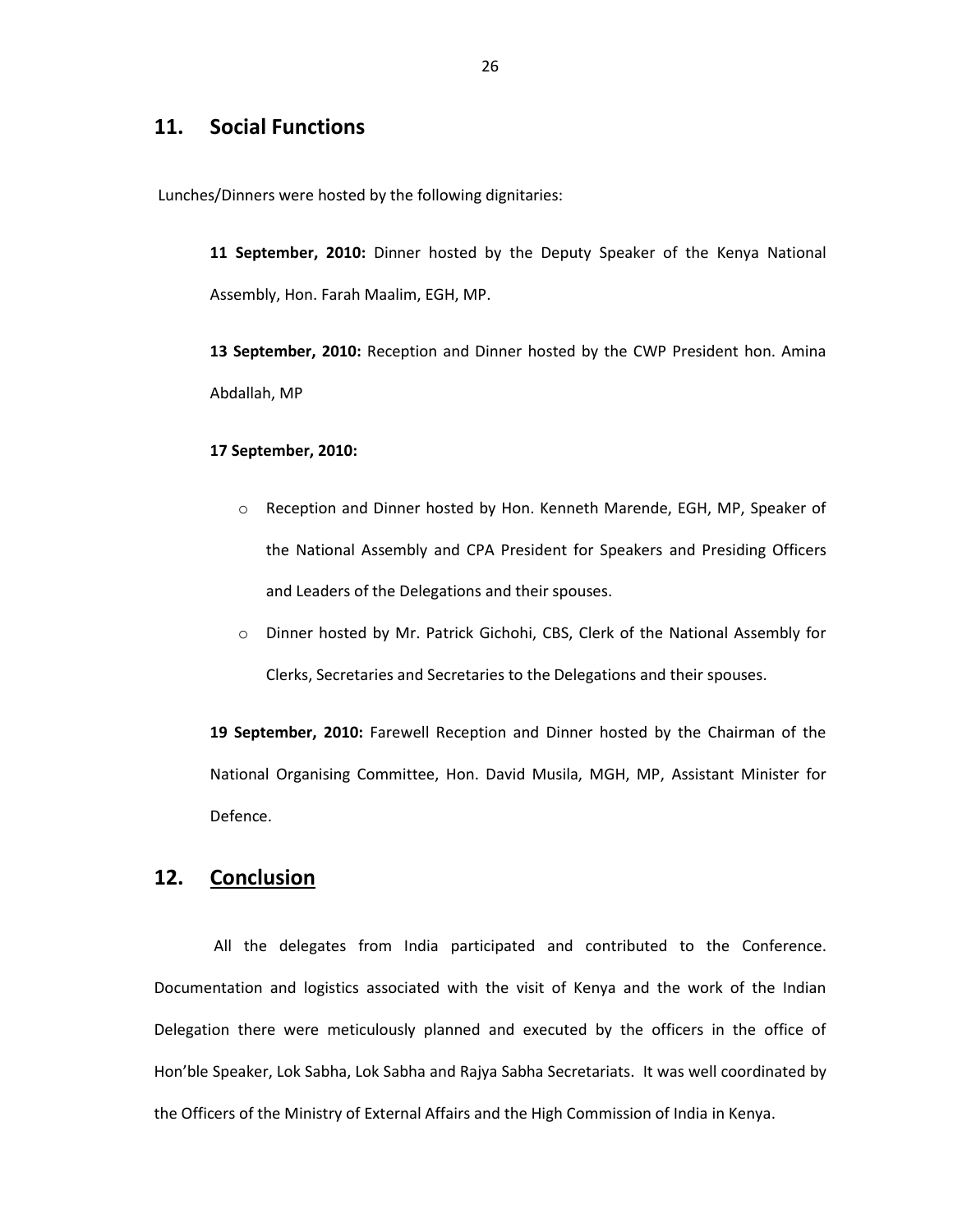### **11. Social Functions**

Lunches/Dinners were hosted by the following dignitaries:

**11 September, 2010:** Dinner hosted by the Deputy Speaker of the Kenya National Assembly, Hon. Farah Maalim, EGH, MP.

**13 September, 2010:** Reception and Dinner hosted by the CWP President hon. Amina Abdallah, MP

#### **17 September, 2010:**

- o Reception and Dinner hosted by Hon. Kenneth Marende, EGH, MP, Speaker of the National Assembly and CPA President for Speakers and Presiding Officers and Leaders of the Delegations and their spouses.
- o Dinner hosted by Mr. Patrick Gichohi, CBS, Clerk of the National Assembly for Clerks, Secretaries and Secretaries to the Delegations and their spouses.

**19 September, 2010:** Farewell Reception and Dinner hosted by the Chairman of the National Organising Committee, Hon. David Musila, MGH, MP, Assistant Minister for Defence.

### **12. Conclusion**

All the delegates from India participated and contributed to the Conference. Documentation and logistics associated with the visit of Kenya and the work of the Indian Delegation there were meticulously planned and executed by the officers in the office of Hon'ble Speaker, Lok Sabha, Lok Sabha and Rajya Sabha Secretariats. It was well coordinated by the Officers of the Ministry of External Affairs and the High Commission of India in Kenya.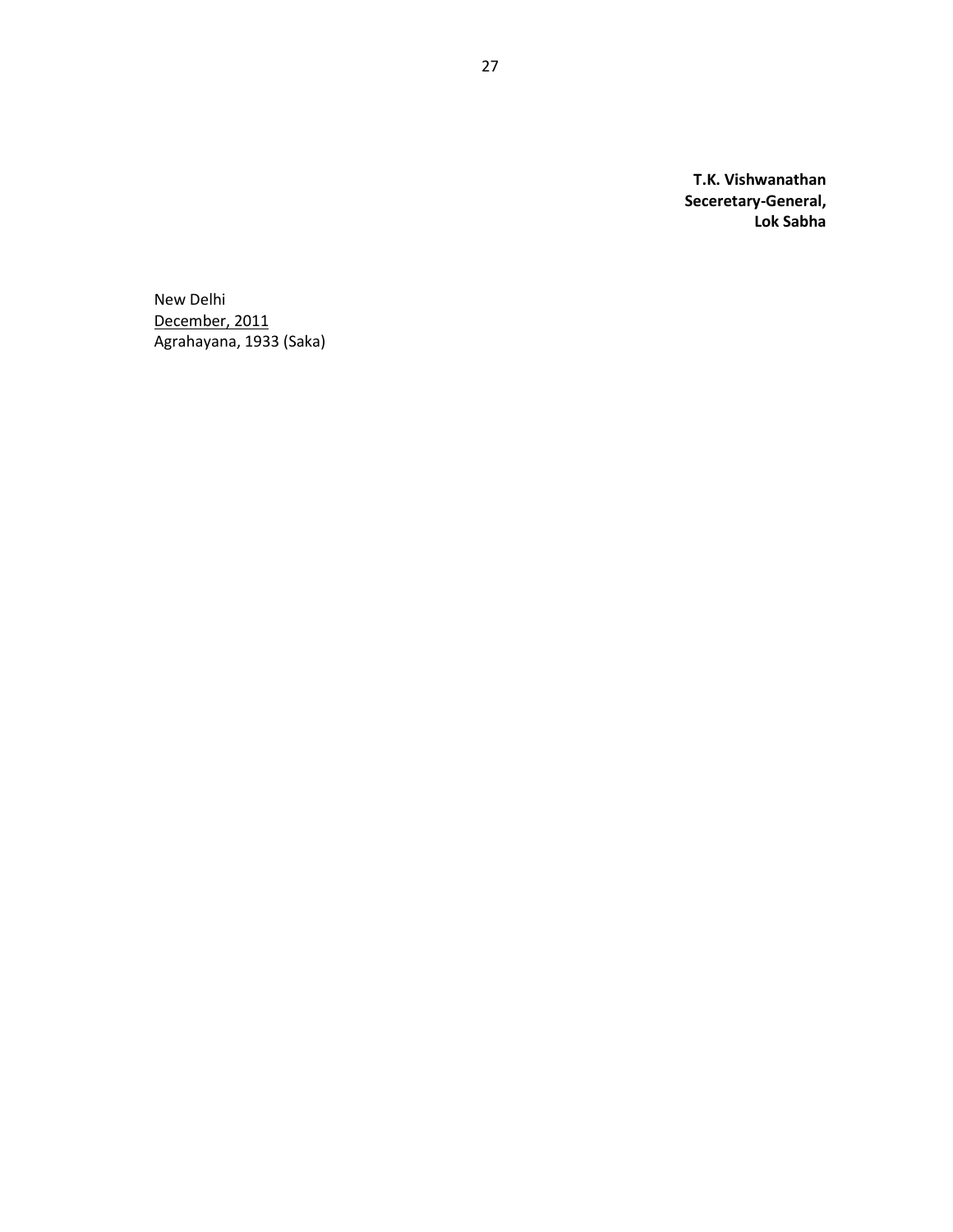**T.K. Vishwanathan Seceretary-General, Lok Sabha**

New Delhi December, 2011 Agrahayana, 1933 (Saka)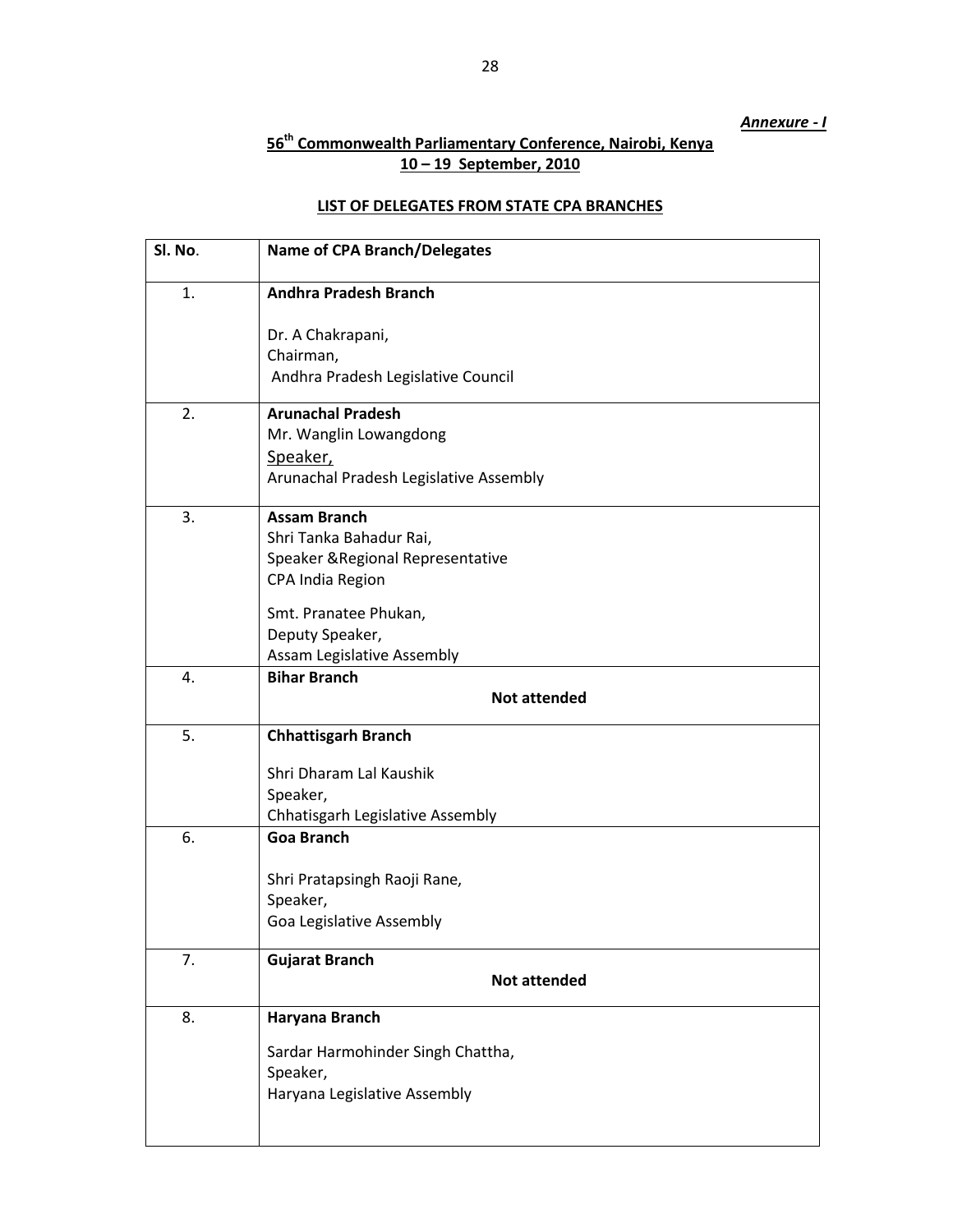#### *Annexure - I*

### **56th Commonwealth Parliamentary Conference, Nairobi, Kenya 10 – 19 September, 2010**

### **LIST OF DELEGATES FROM STATE CPA BRANCHES**

| Sl. No. | <b>Name of CPA Branch/Delegates</b>    |
|---------|----------------------------------------|
| 1.      | <b>Andhra Pradesh Branch</b>           |
|         | Dr. A Chakrapani,                      |
|         | Chairman,                              |
|         | Andhra Pradesh Legislative Council     |
| 2.      | <b>Arunachal Pradesh</b>               |
|         | Mr. Wanglin Lowangdong                 |
|         | Speaker,                               |
|         | Arunachal Pradesh Legislative Assembly |
| 3.      | <b>Assam Branch</b>                    |
|         | Shri Tanka Bahadur Rai,                |
|         | Speaker & Regional Representative      |
|         | CPA India Region                       |
|         | Smt. Pranatee Phukan,                  |
|         | Deputy Speaker,                        |
|         | Assam Legislative Assembly             |
| 4.      | <b>Bihar Branch</b>                    |
|         | <b>Not attended</b>                    |
| 5.      | <b>Chhattisgarh Branch</b>             |
|         | Shri Dharam Lal Kaushik                |
|         | Speaker,                               |
|         | Chhatisgarh Legislative Assembly       |
| 6.      | <b>Goa Branch</b>                      |
|         | Shri Pratapsingh Raoji Rane,           |
|         | Speaker,                               |
|         | Goa Legislative Assembly               |
| 7.      | <b>Gujarat Branch</b>                  |
|         | <b>Not attended</b>                    |
| 8.      | Haryana Branch                         |
|         | Sardar Harmohinder Singh Chattha,      |
|         | Speaker,                               |
|         | Haryana Legislative Assembly           |
|         |                                        |
|         |                                        |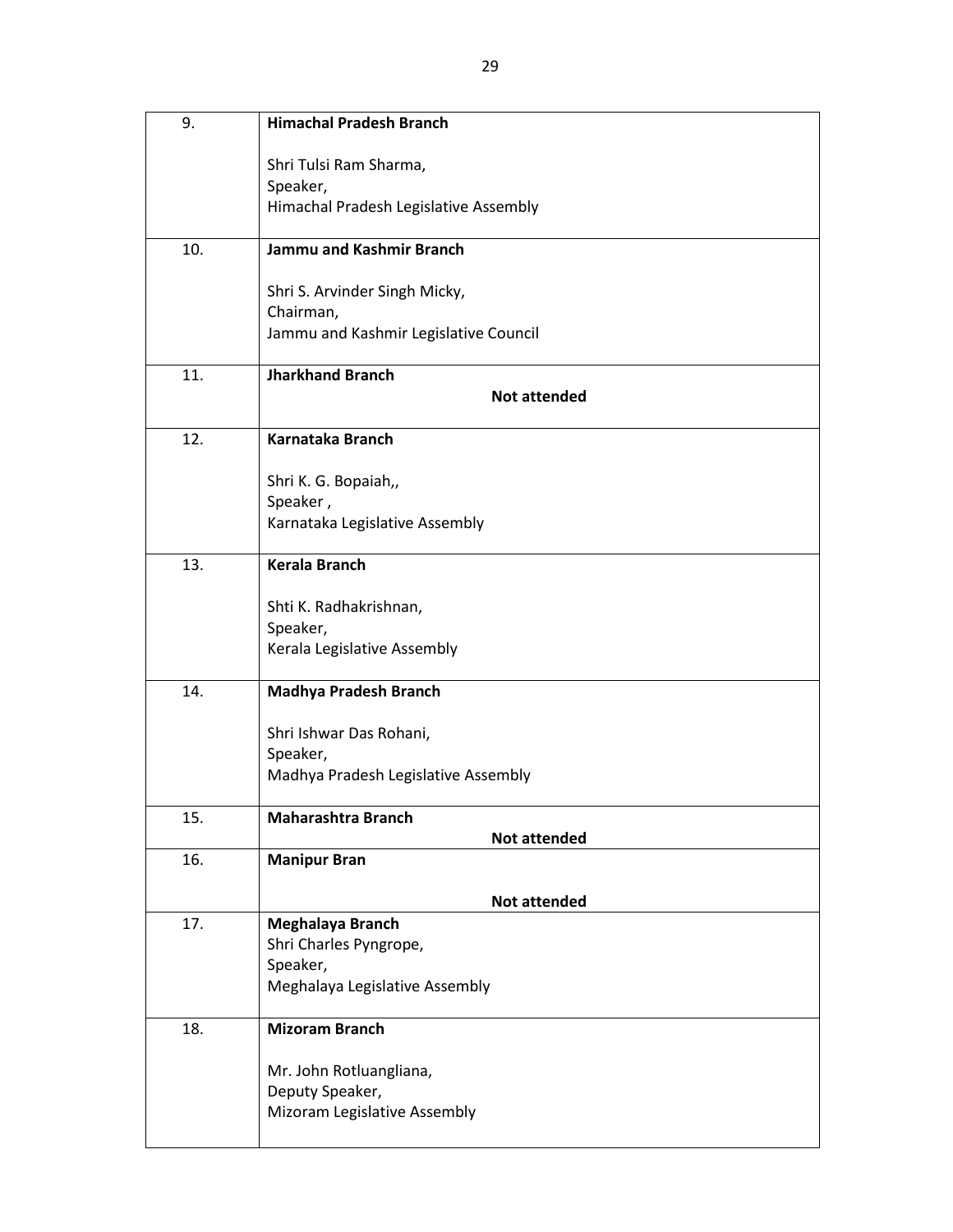| 9.  | <b>Himachal Pradesh Branch</b>                  |
|-----|-------------------------------------------------|
|     |                                                 |
|     | Shri Tulsi Ram Sharma,<br>Speaker,              |
|     | Himachal Pradesh Legislative Assembly           |
|     |                                                 |
| 10. | <b>Jammu and Kashmir Branch</b>                 |
|     | Shri S. Arvinder Singh Micky,                   |
|     | Chairman,                                       |
|     | Jammu and Kashmir Legislative Council           |
| 11. | <b>Jharkhand Branch</b>                         |
|     | <b>Not attended</b>                             |
|     |                                                 |
| 12. | <b>Karnataka Branch</b>                         |
|     | Shri K. G. Bopaiah,,                            |
|     | Speaker,                                        |
|     | Karnataka Legislative Assembly                  |
|     | <b>Kerala Branch</b>                            |
| 13. |                                                 |
|     | Shti K. Radhakrishnan,                          |
|     | Speaker,                                        |
|     | Kerala Legislative Assembly                     |
| 14. | <b>Madhya Pradesh Branch</b>                    |
|     |                                                 |
|     | Shri Ishwar Das Rohani,                         |
|     | Speaker,<br>Madhya Pradesh Legislative Assembly |
|     |                                                 |
| 15. | <b>Maharashtra Branch</b>                       |
|     | <b>Not attended</b>                             |
| 16. | <b>Manipur Bran</b>                             |
|     | <b>Not attended</b>                             |
| 17. | Meghalaya Branch                                |
|     | Shri Charles Pyngrope,                          |
|     | Speaker,<br>Meghalaya Legislative Assembly      |
|     |                                                 |
| 18. | <b>Mizoram Branch</b>                           |
|     | Mr. John Rotluangliana,                         |
|     | Deputy Speaker,                                 |
|     | Mizoram Legislative Assembly                    |
|     |                                                 |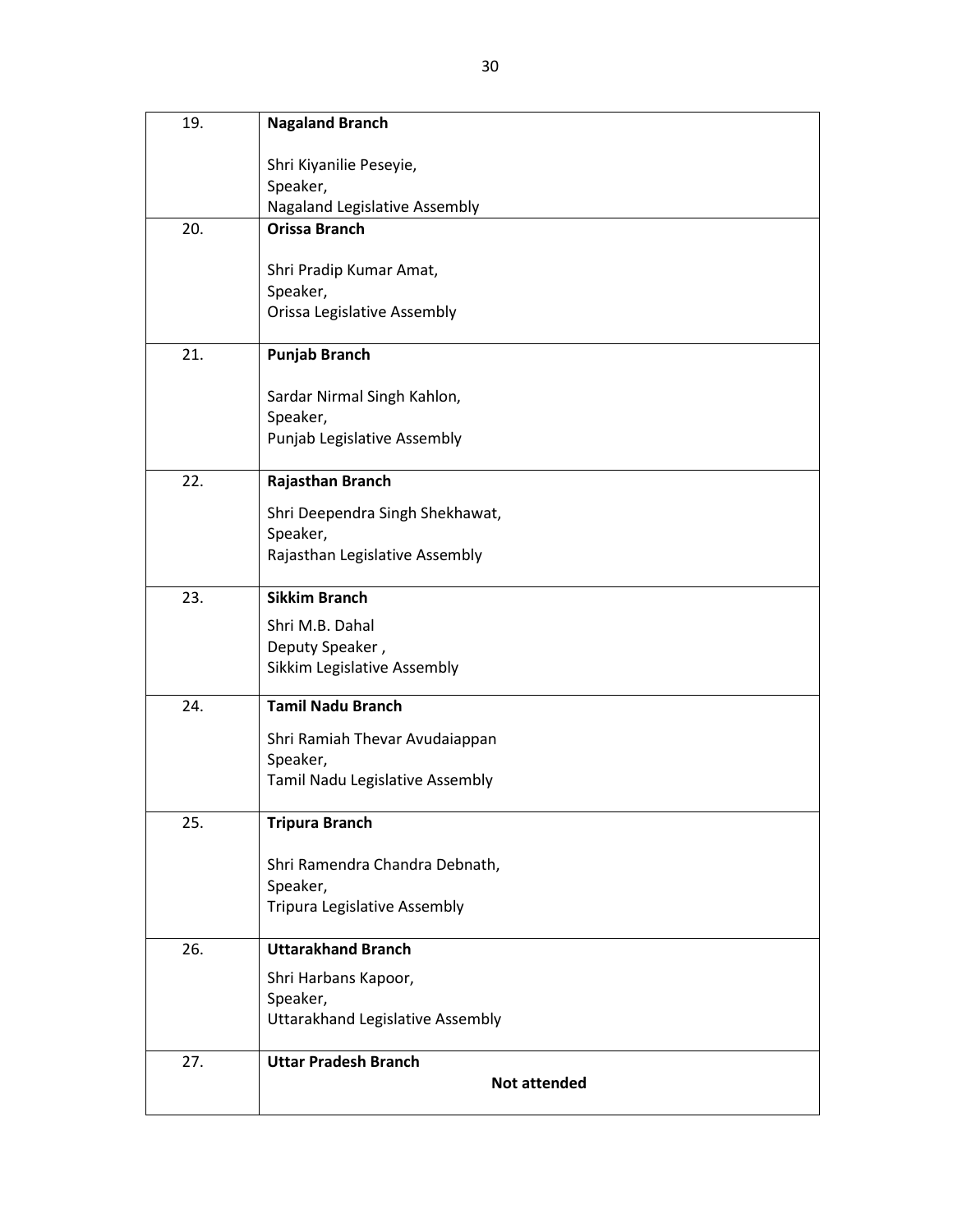| 19. | <b>Nagaland Branch</b>                  |
|-----|-----------------------------------------|
|     | Shri Kiyanilie Peseyie,                 |
|     | Speaker,                                |
|     | Nagaland Legislative Assembly           |
| 20. | <b>Orissa Branch</b>                    |
|     | Shri Pradip Kumar Amat,                 |
|     | Speaker,                                |
|     | Orissa Legislative Assembly             |
| 21. | <b>Punjab Branch</b>                    |
|     | Sardar Nirmal Singh Kahlon,             |
|     | Speaker,                                |
|     | Punjab Legislative Assembly             |
| 22. | Rajasthan Branch                        |
|     | Shri Deependra Singh Shekhawat,         |
|     | Speaker,                                |
|     | Rajasthan Legislative Assembly          |
| 23. | <b>Sikkim Branch</b>                    |
|     | Shri M.B. Dahal                         |
|     | Deputy Speaker,                         |
|     | Sikkim Legislative Assembly             |
| 24. | <b>Tamil Nadu Branch</b>                |
|     | Shri Ramiah Thevar Avudaiappan          |
|     | Speaker,                                |
|     | Tamil Nadu Legislative Assembly         |
| 25. | <b>Tripura Branch</b>                   |
|     | Shri Ramendra Chandra Debnath,          |
|     | Speaker,                                |
|     | Tripura Legislative Assembly            |
| 26. | <b>Uttarakhand Branch</b>               |
|     | Shri Harbans Kapoor,                    |
|     | Speaker,                                |
|     | <b>Uttarakhand Legislative Assembly</b> |
| 27. | <b>Uttar Pradesh Branch</b>             |
|     | <b>Not attended</b>                     |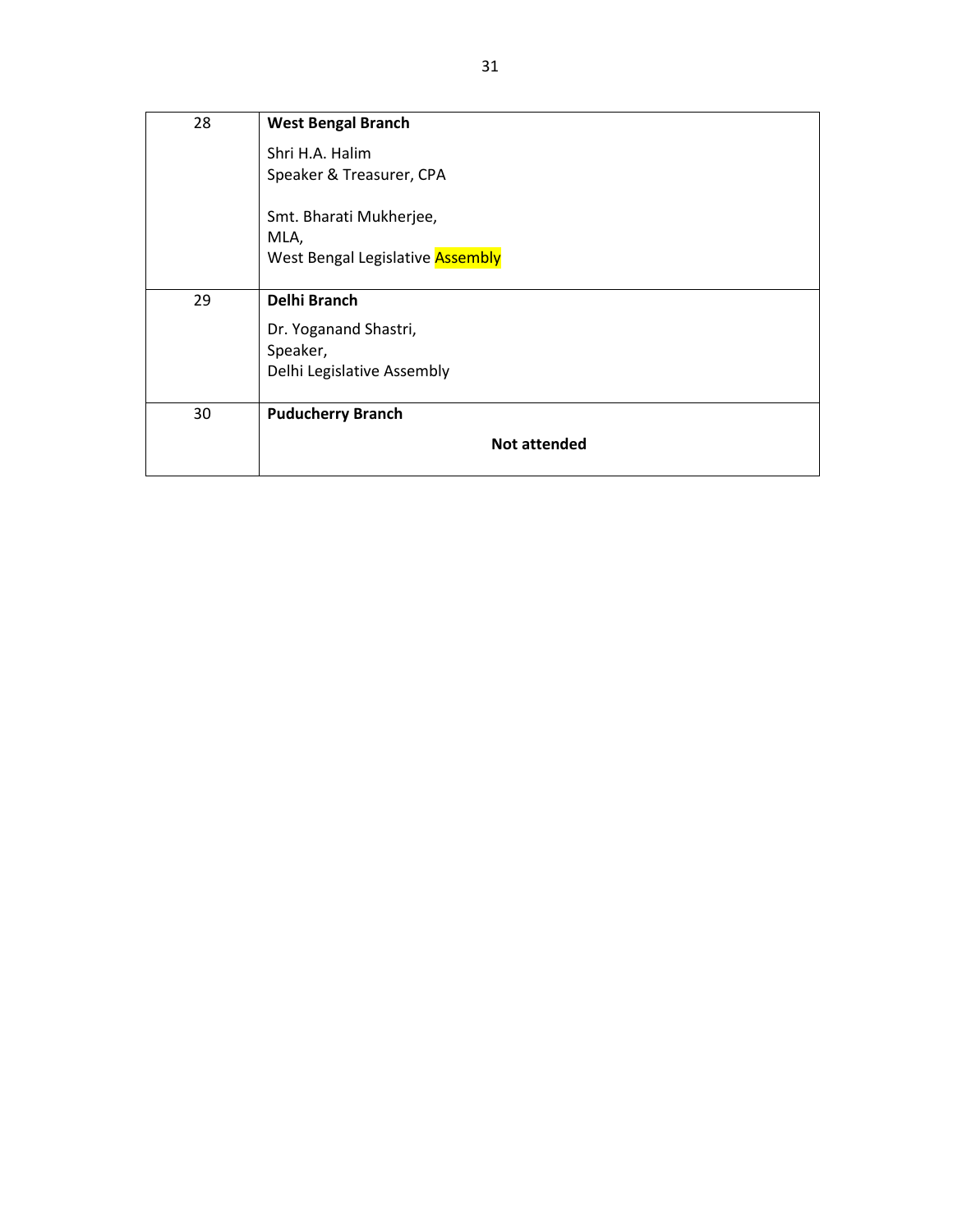| 28 | <b>West Bengal Branch</b>        |
|----|----------------------------------|
|    | Shri H.A. Halim                  |
|    | Speaker & Treasurer, CPA         |
|    | Smt. Bharati Mukherjee,          |
|    | MLA,                             |
|    | West Bengal Legislative Assembly |
|    |                                  |
| 29 | Delhi Branch                     |
|    | Dr. Yoganand Shastri,            |
|    | Speaker,                         |
|    | Delhi Legislative Assembly       |
|    |                                  |
| 30 | <b>Puducherry Branch</b>         |
|    | <b>Not attended</b>              |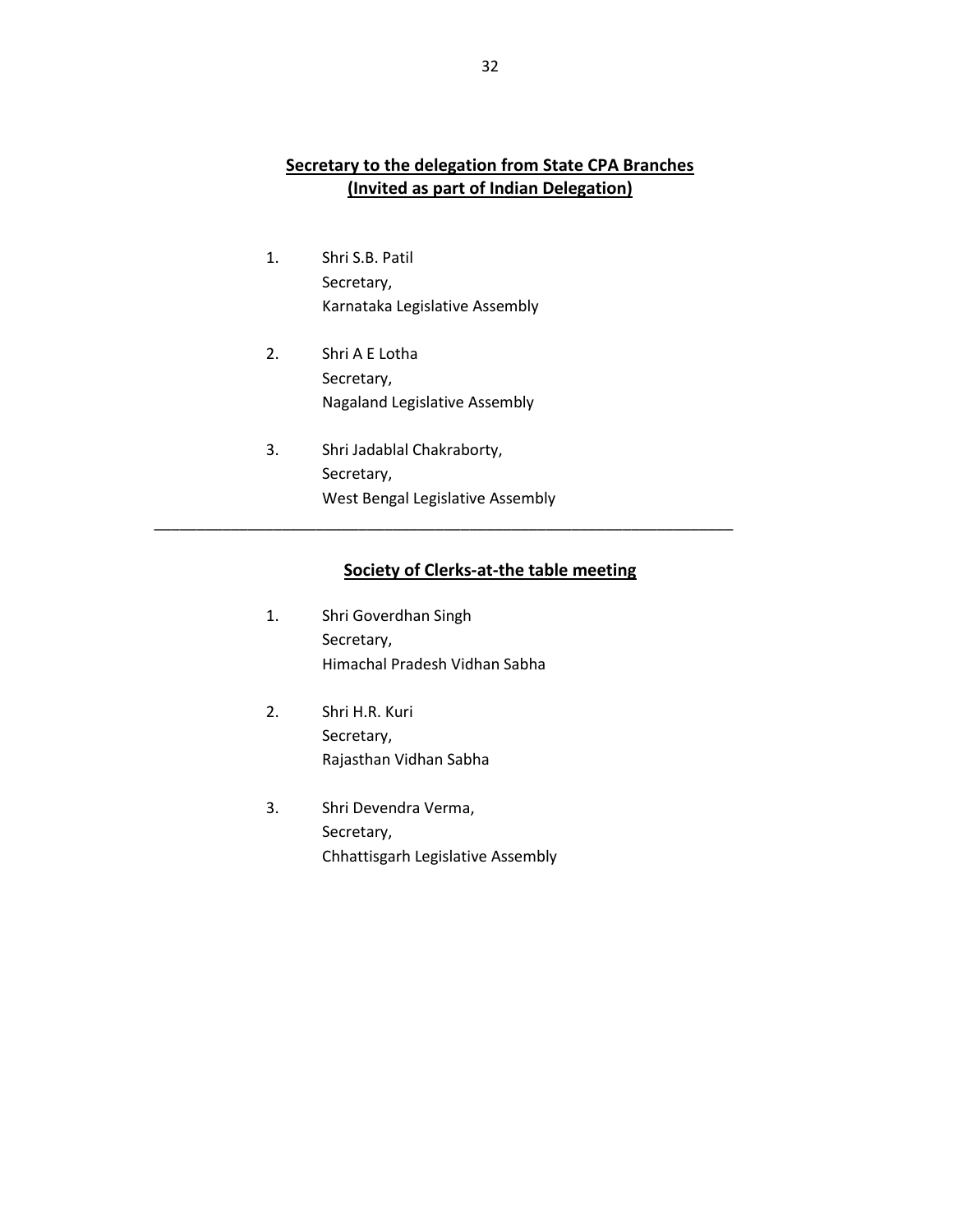### **Secretary to the delegation from State CPA Branches (Invited as part of Indian Delegation)**

- 1. Shri S.B. Patil Secretary, Karnataka Legislative Assembly
- 2. Shri A E Lotha Secretary, Nagaland Legislative Assembly
- 3. Shri Jadablal Chakraborty, Secretary, West Bengal Legislative Assembly

\_\_\_\_\_\_\_\_\_\_\_\_\_\_\_\_\_\_\_\_\_\_\_\_\_\_\_\_\_\_\_\_\_\_\_\_\_\_\_\_\_\_\_\_\_\_\_\_\_\_\_\_\_\_\_\_\_\_\_\_\_\_\_\_\_\_\_\_

### **Society of Clerks-at-the table meeting**

- 1. Shri Goverdhan Singh Secretary, Himachal Pradesh Vidhan Sabha
- 2. Shri H.R. Kuri Secretary, Rajasthan Vidhan Sabha
- 3. Shri Devendra Verma, Secretary, Chhattisgarh Legislative Assembly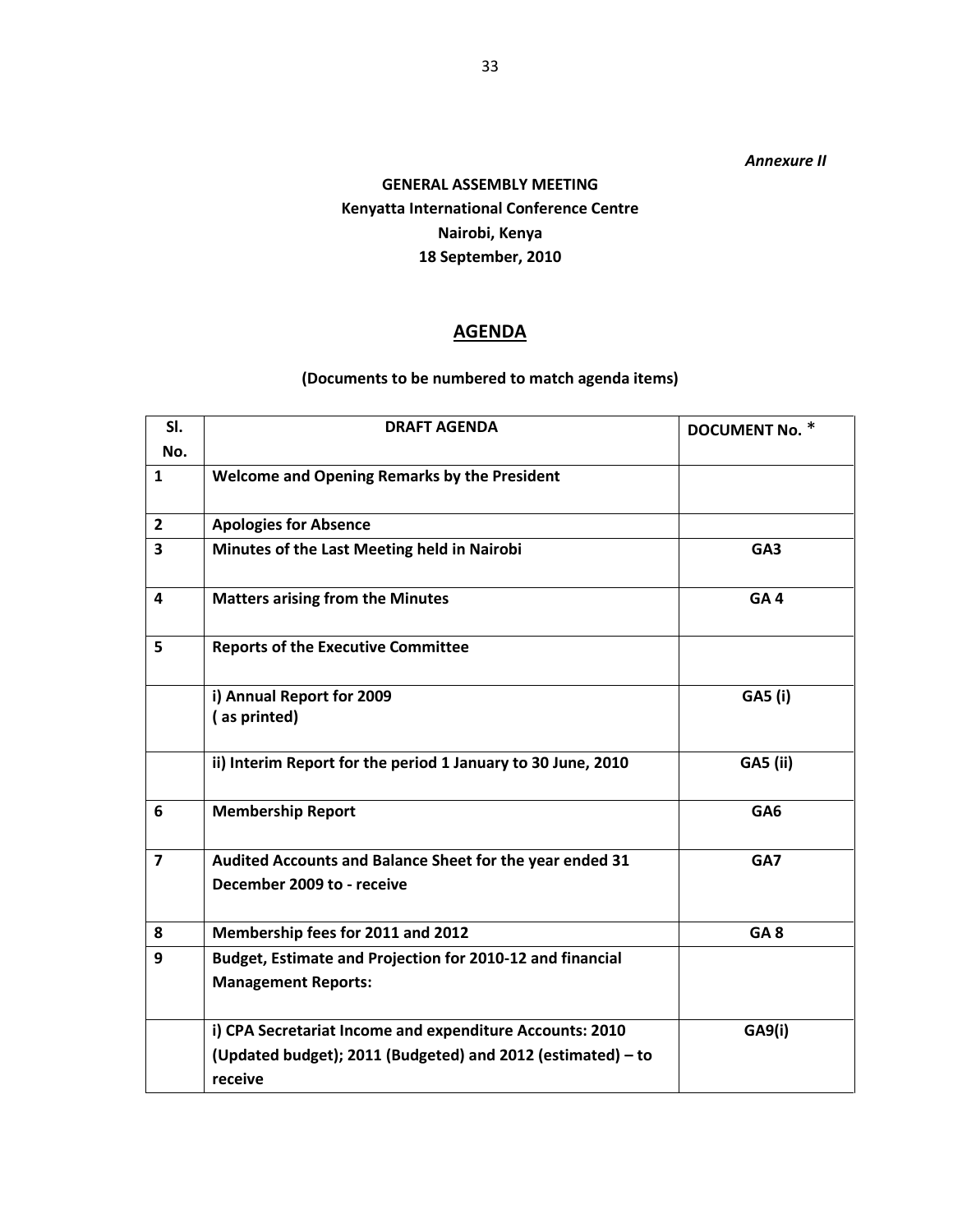*Annexure II*

# **GENERAL ASSEMBLY MEETING Kenyatta International Conference Centre Nairobi, Kenya 18 September, 2010**

### **AGENDA**

### **(Documents to be numbered to match agenda items)**

| SI.            | <b>DRAFT AGENDA</b>                                                                                                                | DOCUMENT No. *  |
|----------------|------------------------------------------------------------------------------------------------------------------------------------|-----------------|
| No.            |                                                                                                                                    |                 |
| $\mathbf{1}$   | Welcome and Opening Remarks by the President                                                                                       |                 |
| $\overline{2}$ | <b>Apologies for Absence</b>                                                                                                       |                 |
| 3              | Minutes of the Last Meeting held in Nairobi                                                                                        | GA <sub>3</sub> |
| 4              | <b>Matters arising from the Minutes</b>                                                                                            | GA <sub>4</sub> |
| 5              | <b>Reports of the Executive Committee</b>                                                                                          |                 |
|                | i) Annual Report for 2009<br>(as printed)                                                                                          | <b>GA5 (i)</b>  |
|                | ii) Interim Report for the period 1 January to 30 June, 2010                                                                       | <b>GA5 (ii)</b> |
| 6              | <b>Membership Report</b>                                                                                                           | GA <sub>6</sub> |
| $\overline{7}$ | Audited Accounts and Balance Sheet for the year ended 31<br>December 2009 to - receive                                             | GA7             |
| 8              | Membership fees for 2011 and 2012                                                                                                  | GA <sub>8</sub> |
| 9              | Budget, Estimate and Projection for 2010-12 and financial<br><b>Management Reports:</b>                                            |                 |
|                | i) CPA Secretariat Income and expenditure Accounts: 2010<br>(Updated budget); 2011 (Budgeted) and 2012 (estimated) - to<br>receive | <b>GA9(i)</b>   |